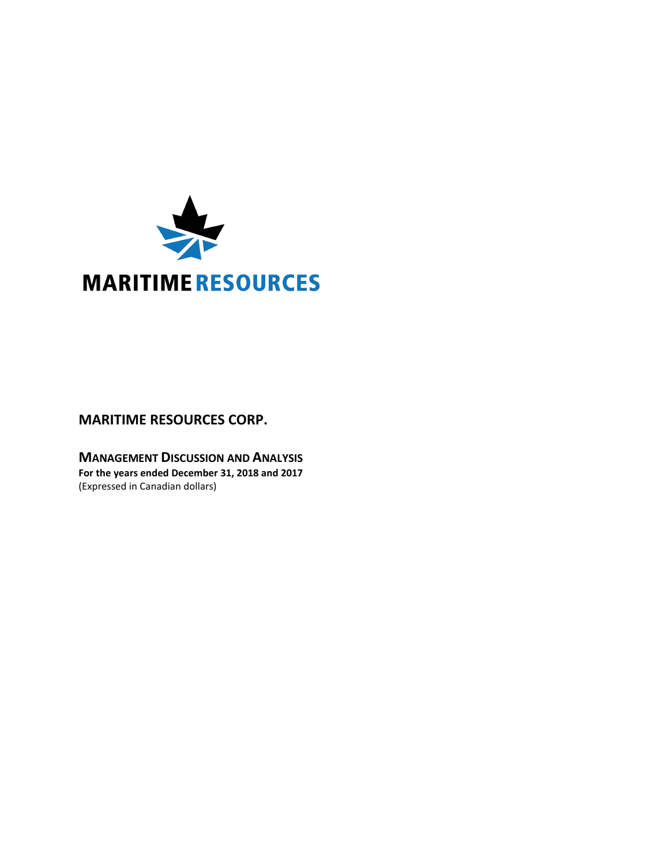

# **MARITIME RESOURCES CORP.**

**MANAGEMENT DISCUSSION AND ANALYSIS For the years ended December 31, 2018 and 2017** (Expressed in Canadian dollars)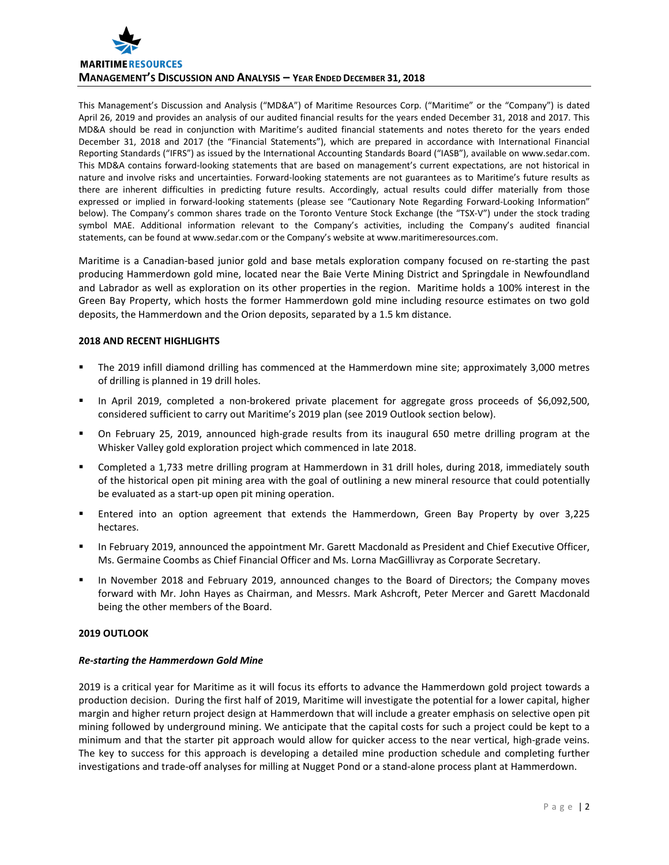

This Management's Discussion and Analysis ("MD&A") of Maritime Resources Corp. ("Maritime" or the "Company") is dated April 26, 2019 and provides an analysis of our audited financial results for the years ended December 31, 2018 and 2017. This MD&A should be read in conjunction with Maritime's audited financial statements and notes thereto for the years ended December 31, 2018 and 2017 (the "Financial Statements"), which are prepared in accordance with International Financial Reporting Standards ("IFRS") as issued by the International Accounting Standards Board ("IASB"), available on www.sedar.com. This MD&A contains forward-looking statements that are based on management's current expectations, are not historical in nature and involve risks and uncertainties. Forward-looking statements are not guarantees as to Maritime's future results as there are inherent difficulties in predicting future results. Accordingly, actual results could differ materially from those expressed or implied in forward-looking statements (please see "Cautionary Note Regarding Forward-Looking Information" below). The Company's common shares trade on the Toronto Venture Stock Exchange (the "TSX-V") under the stock trading symbol MAE. Additional information relevant to the Company's activities, including the Company's audited financial statements, can be found at www.sedar.com or the Company's website at www.maritimeresources.com.

Maritime is a Canadian-based junior gold and base metals exploration company focused on re-starting the past producing Hammerdown gold mine, located near the Baie Verte Mining District and Springdale in Newfoundland and Labrador as well as exploration on its other properties in the region. Maritime holds a 100% interest in the Green Bay Property, which hosts the former Hammerdown gold mine including resource estimates on two gold deposits, the Hammerdown and the Orion deposits, separated by a 1.5 km distance.

# **2018 AND RECENT HIGHLIGHTS**

- The 2019 infill diamond drilling has commenced at the Hammerdown mine site; approximately 3,000 metres of drilling is planned in 19 drill holes.
- In April 2019, completed a non-brokered private placement for aggregate gross proceeds of \$6,092,500, considered sufficient to carry out Maritime's 2019 plan (see 2019 Outlook section below).
- On February 25, 2019, announced high-grade results from its inaugural 650 metre drilling program at the Whisker Valley gold exploration project which commenced in late 2018.
- Completed a 1,733 metre drilling program at Hammerdown in 31 drill holes, during 2018, immediately south of the historical open pit mining area with the goal of outlining a new mineral resource that could potentially be evaluated as a start-up open pit mining operation.
- Entered into an option agreement that extends the Hammerdown, Green Bay Property by over 3,225 hectares.
- In February 2019, announced the appointment Mr. Garett Macdonald as President and Chief Executive Officer, Ms. Germaine Coombs as Chief Financial Officer and Ms. Lorna MacGillivray as Corporate Secretary.
- In November 2018 and February 2019, announced changes to the Board of Directors; the Company moves forward with Mr. John Hayes as Chairman, and Messrs. Mark Ashcroft, Peter Mercer and Garett Macdonald being the other members of the Board.

# **2019 OUTLOOK**

# *Re-starting the Hammerdown Gold Mine*

2019 is a critical year for Maritime as it will focus its efforts to advance the Hammerdown gold project towards a production decision. During the first half of 2019, Maritime will investigate the potential for a lower capital, higher margin and higher return project design at Hammerdown that will include a greater emphasis on selective open pit mining followed by underground mining. We anticipate that the capital costs for such a project could be kept to a minimum and that the starter pit approach would allow for quicker access to the near vertical, high-grade veins. The key to success for this approach is developing a detailed mine production schedule and completing further investigations and trade-off analyses for milling at Nugget Pond or a stand-alone process plant at Hammerdown.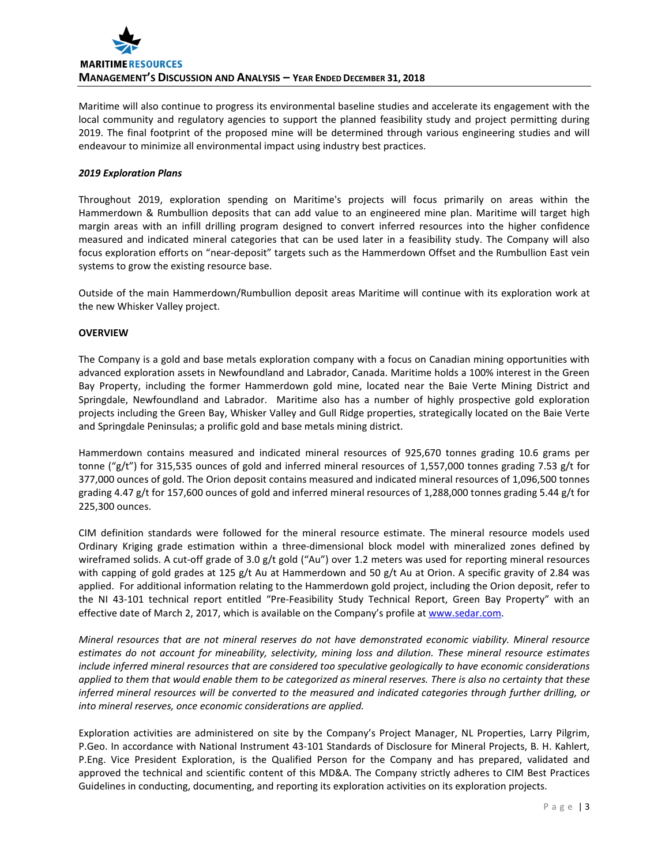

Maritime will also continue to progress its environmental baseline studies and accelerate its engagement with the local community and regulatory agencies to support the planned feasibility study and project permitting during 2019. The final footprint of the proposed mine will be determined through various engineering studies and will endeavour to minimize all environmental impact using industry best practices.

# *2019 Exploration Plans*

Throughout 2019, exploration spending on Maritime's projects will focus primarily on areas within the Hammerdown & Rumbullion deposits that can add value to an engineered mine plan. Maritime will target high margin areas with an infill drilling program designed to convert inferred resources into the higher confidence measured and indicated mineral categories that can be used later in a feasibility study. The Company will also focus exploration efforts on "near-deposit" targets such as the Hammerdown Offset and the Rumbullion East vein systems to grow the existing resource base.

Outside of the main Hammerdown/Rumbullion deposit areas Maritime will continue with its exploration work at the new Whisker Valley project.

# **OVERVIEW**

The Company is a gold and base metals exploration company with a focus on Canadian mining opportunities with advanced exploration assets in Newfoundland and Labrador, Canada. Maritime holds a 100% interest in the Green Bay Property, including the former Hammerdown gold mine, located near the Baie Verte Mining District and Springdale, Newfoundland and Labrador. Maritime also has a number of highly prospective gold exploration projects including the Green Bay, Whisker Valley and Gull Ridge properties, strategically located on the Baie Verte and Springdale Peninsulas; a prolific gold and base metals mining district.

Hammerdown contains measured and indicated mineral resources of 925,670 tonnes grading 10.6 grams per tonne ("g/t") for 315,535 ounces of gold and inferred mineral resources of 1,557,000 tonnes grading 7.53 g/t for 377,000 ounces of gold. The Orion deposit contains measured and indicated mineral resources of 1,096,500 tonnes grading 4.47 g/t for 157,600 ounces of gold and inferred mineral resources of 1,288,000 tonnes grading 5.44 g/t for 225,300 ounces.

CIM definition standards were followed for the mineral resource estimate. The mineral resource models used Ordinary Kriging grade estimation within a three-dimensional block model with mineralized zones defined by wireframed solids. A cut-off grade of 3.0 g/t gold ("Au") over 1.2 meters was used for reporting mineral resources with capping of gold grades at 125 g/t Au at Hammerdown and 50 g/t Au at Orion. A specific gravity of 2.84 was applied. For additional information relating to the Hammerdown gold project, including the Orion deposit, refer to the NI 43-101 technical report entitled "Pre-Feasibility Study Technical Report, Green Bay Property" with an effective date of March 2, 2017, which is available on the Company's profile a[t www.sedar.com.](http://www.sedar.com/)

*Mineral resources that are not mineral reserves do not have demonstrated economic viability. Mineral resource estimates do not account for mineability, selectivity, mining loss and dilution. These mineral resource estimates include inferred mineral resources that are considered too speculative geologically to have economic considerations applied to them that would enable them to be categorized as mineral reserves. There is also no certainty that these inferred mineral resources will be converted to the measured and indicated categories through further drilling, or into mineral reserves, once economic considerations are applied.*

Exploration activities are administered on site by the Company's Project Manager, NL Properties, Larry Pilgrim, P.Geo. In accordance with National Instrument 43-101 Standards of Disclosure for Mineral Projects, B. H. Kahlert, P.Eng. Vice President Exploration, is the Qualified Person for the Company and has prepared, validated and approved the technical and scientific content of this MD&A. The Company strictly adheres to CIM Best Practices Guidelines in conducting, documenting, and reporting its exploration activities on its exploration projects.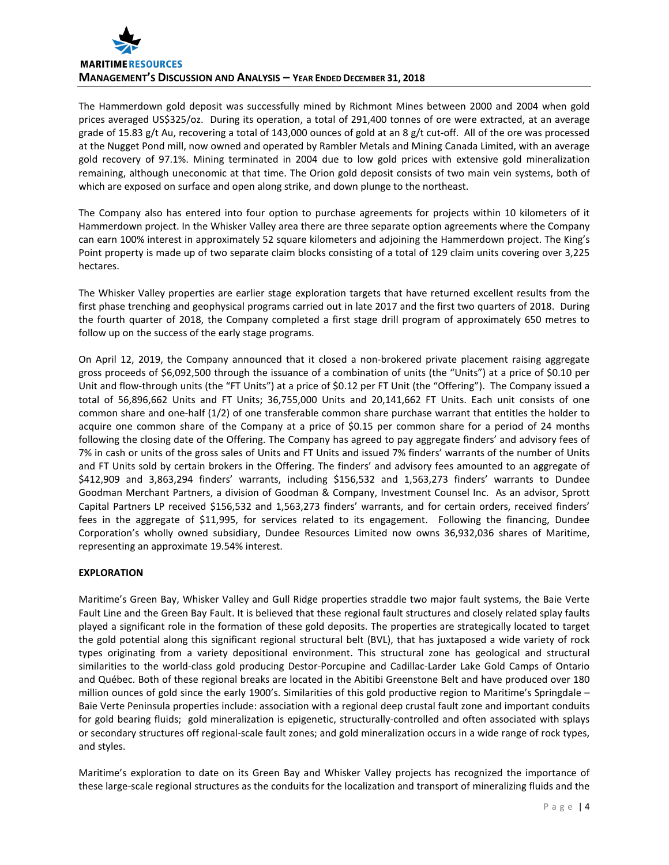

The Hammerdown gold deposit was successfully mined by Richmont Mines between 2000 and 2004 when gold prices averaged US\$325/oz. During its operation, a total of 291,400 tonnes of ore were extracted, at an average grade of 15.83 g/t Au, recovering a total of 143,000 ounces of gold at an 8 g/t cut-off. All of the ore was processed at the Nugget Pond mill, now owned and operated by Rambler Metals and Mining Canada Limited, with an average gold recovery of 97.1%. Mining terminated in 2004 due to low gold prices with extensive gold mineralization remaining, although uneconomic at that time. The Orion gold deposit consists of two main vein systems, both of which are exposed on surface and open along strike, and down plunge to the northeast.

The Company also has entered into four option to purchase agreements for projects within 10 kilometers of it Hammerdown project. In the Whisker Valley area there are three separate option agreements where the Company can earn 100% interest in approximately 52 square kilometers and adjoining the Hammerdown project. The King's Point property is made up of two separate claim blocks consisting of a total of 129 claim units covering over 3,225 hectares.

The Whisker Valley properties are earlier stage exploration targets that have returned excellent results from the first phase trenching and geophysical programs carried out in late 2017 and the first two quarters of 2018. During the fourth quarter of 2018, the Company completed a first stage drill program of approximately 650 metres to follow up on the success of the early stage programs.

On April 12, 2019, the Company announced that it closed a non-brokered private placement raising aggregate gross proceeds of \$6,092,500 through the issuance of a combination of units (the "Units") at a price of \$0.10 per Unit and flow-through units (the "FT Units") at a price of \$0.12 per FT Unit (the "Offering"). The Company issued a total of 56,896,662 Units and FT Units; 36,755,000 Units and 20,141,662 FT Units. Each unit consists of one common share and one-half (1/2) of one transferable common share purchase warrant that entitles the holder to acquire one common share of the Company at a price of \$0.15 per common share for a period of 24 months following the closing date of the Offering. The Company has agreed to pay aggregate finders' and advisory fees of 7% in cash or units of the gross sales of Units and FT Units and issued 7% finders' warrants of the number of Units and FT Units sold by certain brokers in the Offering. The finders' and advisory fees amounted to an aggregate of \$412,909 and 3,863,294 finders' warrants, including \$156,532 and 1,563,273 finders' warrants to Dundee Goodman Merchant Partners, a division of Goodman & Company, Investment Counsel Inc. As an advisor, Sprott Capital Partners LP received \$156,532 and 1,563,273 finders' warrants, and for certain orders, received finders' fees in the aggregate of \$11,995, for services related to its engagement. Following the financing, Dundee Corporation's wholly owned subsidiary, Dundee Resources Limited now owns 36,932,036 shares of Maritime, representing an approximate 19.54% interest.

# **EXPLORATION**

Maritime's Green Bay, Whisker Valley and Gull Ridge properties straddle two major fault systems, the Baie Verte Fault Line and the Green Bay Fault. It is believed that these regional fault structures and closely related splay faults played a significant role in the formation of these gold deposits. The properties are strategically located to target the gold potential along this significant regional structural belt (BVL), that has juxtaposed a wide variety of rock types originating from a variety depositional environment. This structural zone has geological and structural similarities to the world-class gold producing Destor-Porcupine and Cadillac-Larder Lake Gold Camps of Ontario and Québec. Both of these regional breaks are located in the Abitibi Greenstone Belt and have produced over 180 million ounces of gold since the early 1900's. Similarities of this gold productive region to Maritime's Springdale – Baie Verte Peninsula properties include: association with a regional deep crustal fault zone and important conduits for gold bearing fluids; gold mineralization is epigenetic, structurally-controlled and often associated with splays or secondary structures off regional-scale fault zones; and gold mineralization occurs in a wide range of rock types, and styles.

Maritime's exploration to date on its Green Bay and Whisker Valley projects has recognized the importance of these large-scale regional structures as the conduits for the localization and transport of mineralizing fluids and the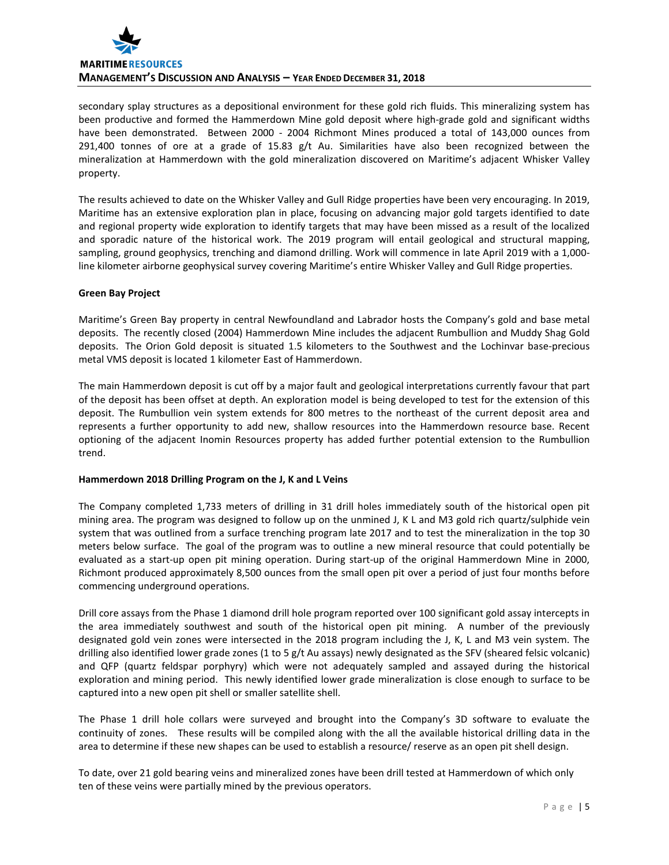

secondary splay structures as a depositional environment for these gold rich fluids. This mineralizing system has been productive and formed the Hammerdown Mine gold deposit where high-grade gold and significant widths have been demonstrated. Between 2000 - 2004 Richmont Mines produced a total of 143,000 ounces from 291,400 tonnes of ore at a grade of 15.83 g/t Au. Similarities have also been recognized between the mineralization at Hammerdown with the gold mineralization discovered on Maritime's adjacent Whisker Valley property.

The results achieved to date on the Whisker Valley and Gull Ridge properties have been very encouraging. In 2019, Maritime has an extensive exploration plan in place, focusing on advancing major gold targets identified to date and regional property wide exploration to identify targets that may have been missed as a result of the localized and sporadic nature of the historical work. The 2019 program will entail geological and structural mapping, sampling, ground geophysics, trenching and diamond drilling. Work will commence in late April 2019 with a 1,000 line kilometer airborne geophysical survey covering Maritime's entire Whisker Valley and Gull Ridge properties.

# **Green Bay Project**

Maritime's Green Bay property in central Newfoundland and Labrador hosts the Company's gold and base metal deposits. The recently closed (2004) Hammerdown Mine includes the adjacent Rumbullion and Muddy Shag Gold deposits. The Orion Gold deposit is situated 1.5 kilometers to the Southwest and the Lochinvar base-precious metal VMS deposit is located 1 kilometer East of Hammerdown.

The main Hammerdown deposit is cut off by a major fault and geological interpretations currently favour that part of the deposit has been offset at depth. An exploration model is being developed to test for the extension of this deposit. The Rumbullion vein system extends for 800 metres to the northeast of the current deposit area and represents a further opportunity to add new, shallow resources into the Hammerdown resource base. Recent optioning of the adjacent Inomin Resources property has added further potential extension to the Rumbullion trend.

# **Hammerdown 2018 Drilling Program on the J, K and L Veins**

The Company completed 1,733 meters of drilling in 31 drill holes immediately south of the historical open pit mining area. The program was designed to follow up on the unmined J, K L and M3 gold rich quartz/sulphide vein system that was outlined from a surface trenching program late 2017 and to test the mineralization in the top 30 meters below surface. The goal of the program was to outline a new mineral resource that could potentially be evaluated as a start-up open pit mining operation. During start-up of the original Hammerdown Mine in 2000, Richmont produced approximately 8,500 ounces from the small open pit over a period of just four months before commencing underground operations.

Drill core assays from the Phase 1 diamond drill hole program reported over 100 significant gold assay intercepts in the area immediately southwest and south of the historical open pit mining. A number of the previously designated gold vein zones were intersected in the 2018 program including the J, K, L and M3 vein system. The drilling also identified lower grade zones (1 to 5 g/t Au assays) newly designated as the SFV (sheared felsic volcanic) and QFP (quartz feldspar porphyry) which were not adequately sampled and assayed during the historical exploration and mining period. This newly identified lower grade mineralization is close enough to surface to be captured into a new open pit shell or smaller satellite shell.

The Phase 1 drill hole collars were surveyed and brought into the Company's 3D software to evaluate the continuity of zones. These results will be compiled along with the all the available historical drilling data in the area to determine if these new shapes can be used to establish a resource/ reserve as an open pit shell design.

To date, over 21 gold bearing veins and mineralized zones have been drill tested at Hammerdown of which only ten of these veins were partially mined by the previous operators.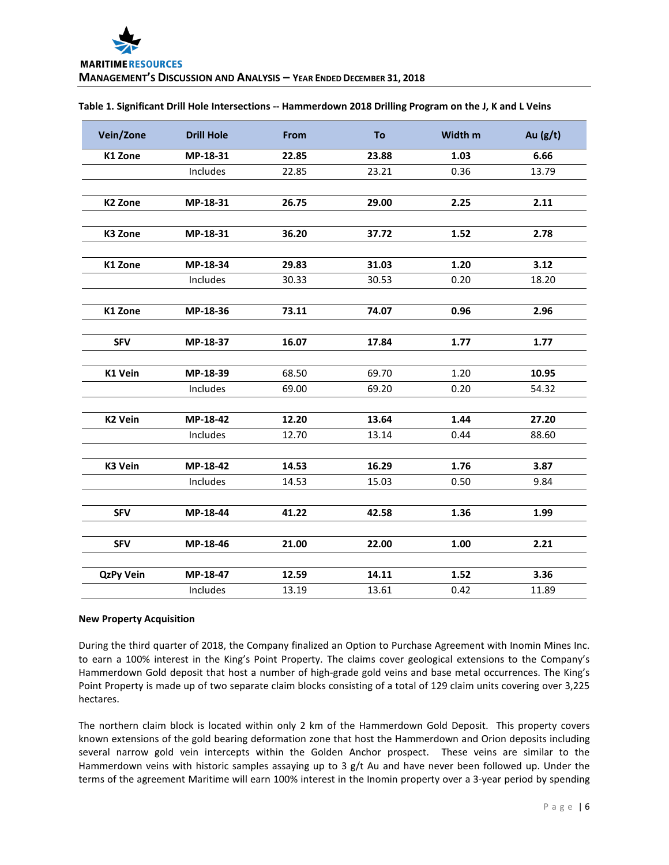| Table 1. Significant Drill Hole Intersections -- Hammerdown 2018 Drilling Program on the J, K and L Veins |  |  |  |
|-----------------------------------------------------------------------------------------------------------|--|--|--|
|-----------------------------------------------------------------------------------------------------------|--|--|--|

| Vein/Zone           | <b>Drill Hole</b> | From  | To    | Width m | Au $(g/t)$ |
|---------------------|-------------------|-------|-------|---------|------------|
| K1 Zone             | MP-18-31          | 22.85 | 23.88 | 1.03    | 6.66       |
|                     | Includes          | 22.85 | 23.21 | 0.36    | 13.79      |
|                     |                   |       |       |         |            |
| K <sub>2</sub> Zone | MP-18-31          | 26.75 | 29.00 | 2.25    | 2.11       |
|                     |                   |       |       |         |            |
| K3 Zone             | MP-18-31          | 36.20 | 37.72 | 1.52    | 2.78       |
| K1 Zone             | MP-18-34          | 29.83 | 31.03 | 1.20    | 3.12       |
|                     | Includes          | 30.33 | 30.53 | 0.20    | 18.20      |
|                     |                   |       |       |         |            |
| K1 Zone             | MP-18-36          | 73.11 | 74.07 | 0.96    | 2.96       |
| <b>SFV</b>          | MP-18-37          | 16.07 | 17.84 | 1.77    | 1.77       |
|                     |                   |       |       |         |            |
| K1 Vein             | MP-18-39          | 68.50 | 69.70 | 1.20    | 10.95      |
|                     | Includes          | 69.00 | 69.20 | 0.20    | 54.32      |
| <b>K2 Vein</b>      | MP-18-42          | 12.20 | 13.64 | 1.44    | 27.20      |
|                     | Includes          | 12.70 | 13.14 | 0.44    | 88.60      |
|                     |                   |       |       |         |            |
| K3 Vein             | MP-18-42          | 14.53 | 16.29 | 1.76    | 3.87       |
|                     | Includes          | 14.53 | 15.03 | 0.50    | 9.84       |
| <b>SFV</b>          | MP-18-44          | 41.22 | 42.58 | 1.36    | 1.99       |
| <b>SFV</b>          | MP-18-46          | 21.00 | 22.00 | 1.00    | 2.21       |
| <b>QzPy Vein</b>    | MP-18-47          | 12.59 | 14.11 | 1.52    | 3.36       |
|                     | Includes          | 13.19 | 13.61 | 0.42    | 11.89      |

#### **New Property Acquisition**

During the third quarter of 2018, the Company finalized an Option to Purchase Agreement with Inomin Mines Inc. to earn a 100% interest in the King's Point Property. The claims cover geological extensions to the Company's Hammerdown Gold deposit that host a number of high-grade gold veins and base metal occurrences. The King's Point Property is made up of two separate claim blocks consisting of a total of 129 claim units covering over 3,225 hectares.

The northern claim block is located within only 2 km of the Hammerdown Gold Deposit. This property covers known extensions of the gold bearing deformation zone that host the Hammerdown and Orion deposits including several narrow gold vein intercepts within the Golden Anchor prospect. These veins are similar to the Hammerdown veins with historic samples assaying up to 3  $g/t$  Au and have never been followed up. Under the terms of the agreement Maritime will earn 100% interest in the Inomin property over a 3-year period by spending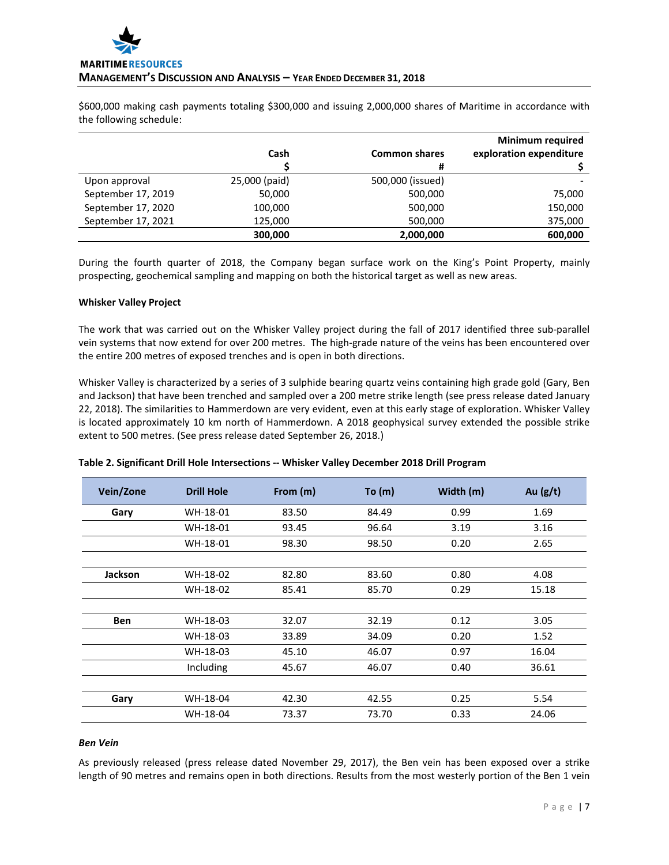\$600,000 making cash payments totaling \$300,000 and issuing 2,000,000 shares of Maritime in accordance with the following schedule:

|                    |               |                      | <b>Minimum required</b> |
|--------------------|---------------|----------------------|-------------------------|
|                    | Cash          | <b>Common shares</b> | exploration expenditure |
|                    |               | #                    |                         |
| Upon approval      | 25,000 (paid) | 500,000 (issued)     |                         |
| September 17, 2019 | 50,000        | 500,000              | 75,000                  |
| September 17, 2020 | 100,000       | 500,000              | 150,000                 |
| September 17, 2021 | 125,000       | 500,000              | 375,000                 |
|                    | 300,000       | 2,000,000            | 600,000                 |

During the fourth quarter of 2018, the Company began surface work on the King's Point Property, mainly prospecting, geochemical sampling and mapping on both the historical target as well as new areas.

# **Whisker Valley Project**

The work that was carried out on the Whisker Valley project during the fall of 2017 identified three sub-parallel vein systems that now extend for over 200 metres. The high-grade nature of the veins has been encountered over the entire 200 metres of exposed trenches and is open in both directions.

Whisker Valley is characterized by a series of 3 sulphide bearing quartz veins containing high grade gold (Gary, Ben and Jackson) that have been trenched and sampled over a 200 metre strike length (see press release dated January 22, 2018). The similarities to Hammerdown are very evident, even at this early stage of exploration. Whisker Valley is located approximately 10 km north of Hammerdown. A 2018 geophysical survey extended the possible strike extent to 500 metres. (See press release dated September 26, 2018.)

| Vein/Zone      | <b>Drill Hole</b> | From (m) | To (m) | Width (m) | Au $(g/t)$ |
|----------------|-------------------|----------|--------|-----------|------------|
| Gary           | WH-18-01          | 83.50    | 84.49  | 0.99      | 1.69       |
|                | WH-18-01          | 93.45    | 96.64  | 3.19      | 3.16       |
|                | WH-18-01          | 98.30    | 98.50  | 0.20      | 2.65       |
|                |                   |          |        |           |            |
| <b>Jackson</b> | WH-18-02          | 82.80    | 83.60  | 0.80      | 4.08       |
|                | WH-18-02          | 85.41    | 85.70  | 0.29      | 15.18      |
|                |                   |          |        |           |            |
| <b>Ben</b>     | WH-18-03          | 32.07    | 32.19  | 0.12      | 3.05       |
|                | WH-18-03          | 33.89    | 34.09  | 0.20      | 1.52       |
|                | WH-18-03          | 45.10    | 46.07  | 0.97      | 16.04      |
|                | Including         | 45.67    | 46.07  | 0.40      | 36.61      |
|                |                   |          |        |           |            |
| Gary           | WH-18-04          | 42.30    | 42.55  | 0.25      | 5.54       |
|                | WH-18-04          | 73.37    | 73.70  | 0.33      | 24.06      |

# **Table 2. Significant Drill Hole Intersections -- Whisker Valley December 2018 Drill Program**

#### *Ben Vein*

As previously released (press release dated November 29, 2017), the Ben vein has been exposed over a strike length of 90 metres and remains open in both directions. Results from the most westerly portion of the Ben 1 vein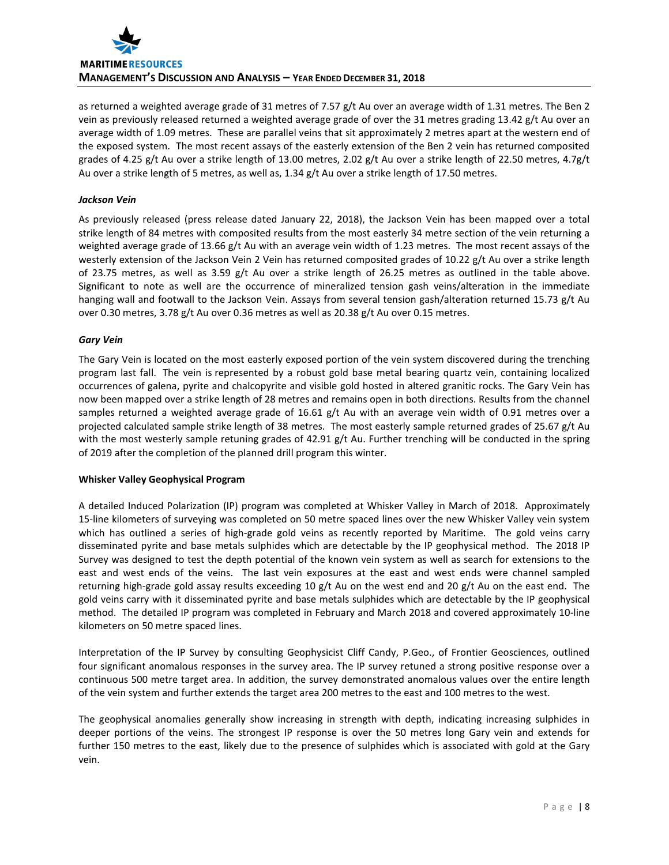

as returned a weighted average grade of 31 metres of 7.57 g/t Au over an average width of 1.31 metres. The Ben 2 vein as previously released returned a weighted average grade of over the 31 metres grading 13.42 g/t Au over an average width of 1.09 metres. These are parallel veins that sit approximately 2 metres apart at the western end of the exposed system. The most recent assays of the easterly extension of the Ben 2 vein has returned composited grades of 4.25 g/t Au over a strike length of 13.00 metres, 2.02 g/t Au over a strike length of 22.50 metres, 4.7g/t Au over a strike length of 5 metres, as well as, 1.34 g/t Au over a strike length of 17.50 metres.

# *Jackson Vein*

As previously released (press release dated January 22, 2018), the Jackson Vein has been mapped over a total strike length of 84 metres with composited results from the most easterly 34 metre section of the vein returning a weighted average grade of 13.66 g/t Au with an average vein width of 1.23 metres. The most recent assays of the westerly extension of the Jackson Vein 2 Vein has returned composited grades of 10.22 g/t Au over a strike length of 23.75 metres, as well as 3.59 g/t Au over a strike length of 26.25 metres as outlined in the table above. Significant to note as well are the occurrence of mineralized tension gash veins/alteration in the immediate hanging wall and footwall to the Jackson Vein. Assays from several tension gash/alteration returned 15.73 g/t Au over 0.30 metres, 3.78 g/t Au over 0.36 metres as well as 20.38 g/t Au over 0.15 metres.

# *Gary Vein*

The Gary Vein is located on the most easterly exposed portion of the vein system discovered during the trenching program last fall. The vein is represented by a robust gold base metal bearing quartz vein, containing localized occurrences of galena, pyrite and chalcopyrite and visible gold hosted in altered granitic rocks. The Gary Vein has now been mapped over a strike length of 28 metres and remains open in both directions. Results from the channel samples returned a weighted average grade of 16.61 g/t Au with an average vein width of 0.91 metres over a projected calculated sample strike length of 38 metres. The most easterly sample returned grades of 25.67 g/t Au with the most westerly sample retuning grades of 42.91 g/t Au. Further trenching will be conducted in the spring of 2019 after the completion of the planned drill program this winter.

# **Whisker Valley Geophysical Program**

A detailed Induced Polarization (IP) program was completed at Whisker Valley in March of 2018. Approximately 15-line kilometers of surveying was completed on 50 metre spaced lines over the new Whisker Valley vein system which has outlined a series of high-grade gold veins as recently reported by Maritime. The gold veins carry disseminated pyrite and base metals sulphides which are detectable by the IP geophysical method. The 2018 IP Survey was designed to test the depth potential of the known vein system as well as search for extensions to the east and west ends of the veins. The last vein exposures at the east and west ends were channel sampled returning high-grade gold assay results exceeding 10 g/t Au on the west end and 20 g/t Au on the east end. The gold veins carry with it disseminated pyrite and base metals sulphides which are detectable by the IP geophysical method. The detailed IP program was completed in February and March 2018 and covered approximately 10-line kilometers on 50 metre spaced lines.

Interpretation of the IP Survey by consulting Geophysicist Cliff Candy, P.Geo., of Frontier Geosciences, outlined four significant anomalous responses in the survey area. The IP survey retuned a strong positive response over a continuous 500 metre target area. In addition, the survey demonstrated anomalous values over the entire length of the vein system and further extends the target area 200 metres to the east and 100 metres to the west.

The geophysical anomalies generally show increasing in strength with depth, indicating increasing sulphides in deeper portions of the veins. The strongest IP response is over the 50 metres long Gary vein and extends for further 150 metres to the east, likely due to the presence of sulphides which is associated with gold at the Gary vein.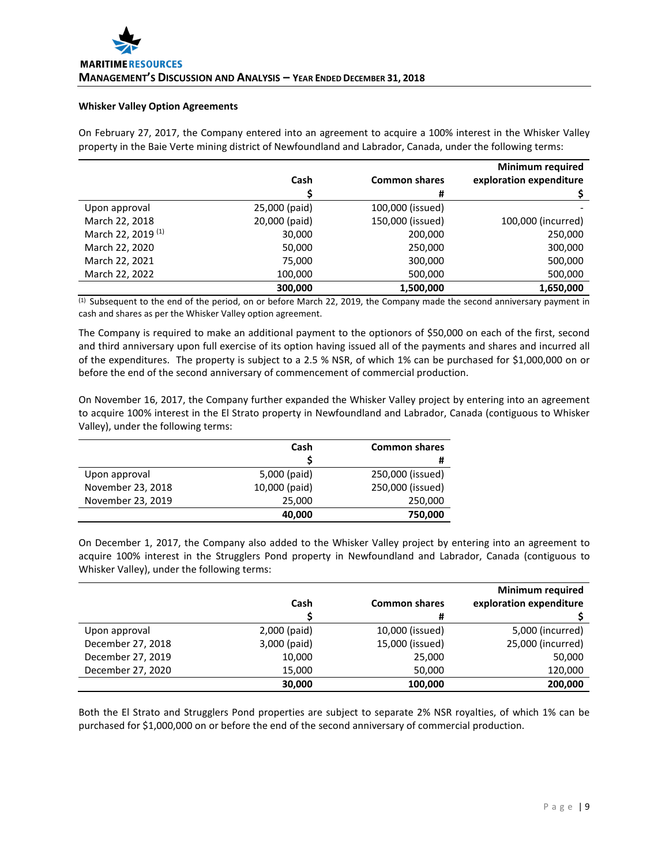### **Whisker Valley Option Agreements**

On February 27, 2017, the Company entered into an agreement to acquire a 100% interest in the Whisker Valley property in the Baie Verte mining district of Newfoundland and Labrador, Canada, under the following terms:

|                               |               |                      | <b>Minimum required</b> |
|-------------------------------|---------------|----------------------|-------------------------|
|                               | Cash          | <b>Common shares</b> | exploration expenditure |
|                               |               | #                    |                         |
| Upon approval                 | 25,000 (paid) | 100,000 (issued)     |                         |
| March 22, 2018                | 20,000 (paid) | 150,000 (issued)     | 100,000 (incurred)      |
| March 22, 2019 <sup>(1)</sup> | 30,000        | 200,000              | 250,000                 |
| March 22, 2020                | 50,000        | 250,000              | 300,000                 |
| March 22, 2021                | 75,000        | 300,000              | 500,000                 |
| March 22, 2022                | 100,000       | 500,000              | 500,000                 |
|                               | 300,000       | 1,500,000            | 1,650,000               |

 $<sup>(1)</sup>$  Subsequent to the end of the period, on or before March 22, 2019, the Company made the second anniversary payment in</sup> cash and shares as per the Whisker Valley option agreement.

The Company is required to make an additional payment to the optionors of \$50,000 on each of the first, second and third anniversary upon full exercise of its option having issued all of the payments and shares and incurred all of the expenditures. The property is subject to a 2.5 % NSR, of which 1% can be purchased for \$1,000,000 on or before the end of the second anniversary of commencement of commercial production.

On November 16, 2017, the Company further expanded the Whisker Valley project by entering into an agreement to acquire 100% interest in the El Strato property in Newfoundland and Labrador, Canada (contiguous to Whisker Valley), under the following terms:

|                   | Cash          | <b>Common shares</b> |
|-------------------|---------------|----------------------|
|                   |               | #                    |
| Upon approval     | 5,000 (paid)  | 250,000 (issued)     |
| November 23, 2018 | 10,000 (paid) | 250,000 (issued)     |
| November 23, 2019 | 25,000        | 250,000              |
|                   | 40,000        | 750,000              |

On December 1, 2017, the Company also added to the Whisker Valley project by entering into an agreement to acquire 100% interest in the Strugglers Pond property in Newfoundland and Labrador, Canada (contiguous to Whisker Valley), under the following terms:

|                   | Cash         | <b>Common shares</b> | <b>Minimum required</b><br>exploration expenditure |
|-------------------|--------------|----------------------|----------------------------------------------------|
|                   |              | #                    |                                                    |
| Upon approval     | 2,000 (paid) | 10,000 (issued)      | 5,000 (incurred)                                   |
| December 27, 2018 | 3,000 (paid) | 15,000 (issued)      | 25,000 (incurred)                                  |
| December 27, 2019 | 10,000       | 25,000               | 50,000                                             |
| December 27, 2020 | 15,000       | 50,000               | 120,000                                            |
|                   | 30,000       | 100.000              | 200,000                                            |

Both the El Strato and Strugglers Pond properties are subject to separate 2% NSR royalties, of which 1% can be purchased for \$1,000,000 on or before the end of the second anniversary of commercial production.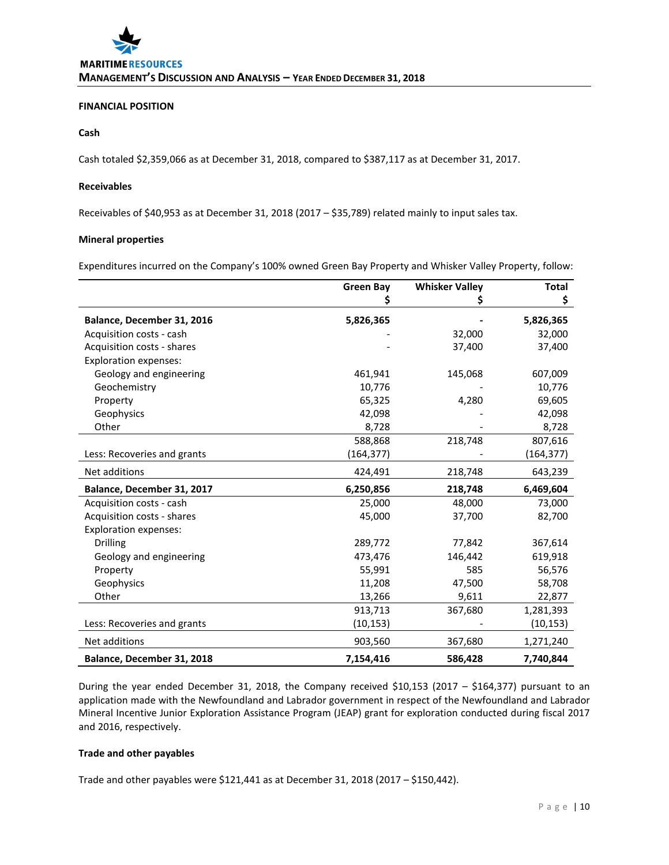# **FINANCIAL POSITION**

# **Cash**

Cash totaled \$2,359,066 as at December 31, 2018, compared to \$387,117 as at December 31, 2017.

# **Receivables**

Receivables of \$40,953 as at December 31, 2018 (2017 - \$35,789) related mainly to input sales tax.

# **Mineral properties**

Expenditures incurred on the Company's 100% owned Green Bay Property and Whisker Valley Property, follow:

|                              | <b>Green Bay</b> | <b>Whisker Valley</b> | <b>Total</b> |
|------------------------------|------------------|-----------------------|--------------|
|                              | \$               |                       | \$           |
| Balance, December 31, 2016   | 5,826,365        |                       | 5,826,365    |
| Acquisition costs - cash     |                  | 32,000                | 32,000       |
| Acquisition costs - shares   |                  | 37,400                | 37,400       |
| <b>Exploration expenses:</b> |                  |                       |              |
| Geology and engineering      | 461,941          | 145,068               | 607,009      |
| Geochemistry                 | 10,776           |                       | 10,776       |
| Property                     | 65,325           | 4,280                 | 69,605       |
| Geophysics                   | 42,098           |                       | 42,098       |
| Other                        | 8,728            |                       | 8,728        |
|                              | 588,868          | 218,748               | 807,616      |
| Less: Recoveries and grants  | (164,377)        |                       | (164,377)    |
| Net additions                | 424,491          | 218,748               | 643,239      |
| Balance, December 31, 2017   | 6,250,856        | 218,748               | 6,469,604    |
| Acquisition costs - cash     | 25,000           | 48,000                | 73,000       |
| Acquisition costs - shares   | 45,000           | 37,700                | 82,700       |
| <b>Exploration expenses:</b> |                  |                       |              |
| <b>Drilling</b>              | 289,772          | 77,842                | 367,614      |
| Geology and engineering      | 473,476          | 146,442               | 619,918      |
| Property                     | 55,991           | 585                   | 56,576       |
| Geophysics                   | 11,208           | 47,500                | 58,708       |
| Other                        | 13,266           | 9,611                 | 22,877       |
|                              | 913,713          | 367,680               | 1,281,393    |
| Less: Recoveries and grants  | (10, 153)        |                       | (10, 153)    |
| Net additions                | 903,560          | 367,680               | 1,271,240    |
| Balance, December 31, 2018   | 7,154,416        | 586,428               | 7,740,844    |

During the year ended December 31, 2018, the Company received \$10,153 (2017 – \$164,377) pursuant to an application made with the Newfoundland and Labrador government in respect of the Newfoundland and Labrador Mineral Incentive Junior Exploration Assistance Program (JEAP) grant for exploration conducted during fiscal 2017 and 2016, respectively.

### **Trade and other payables**

Trade and other payables were \$121,441 as at December 31, 2018 (2017 – \$150,442).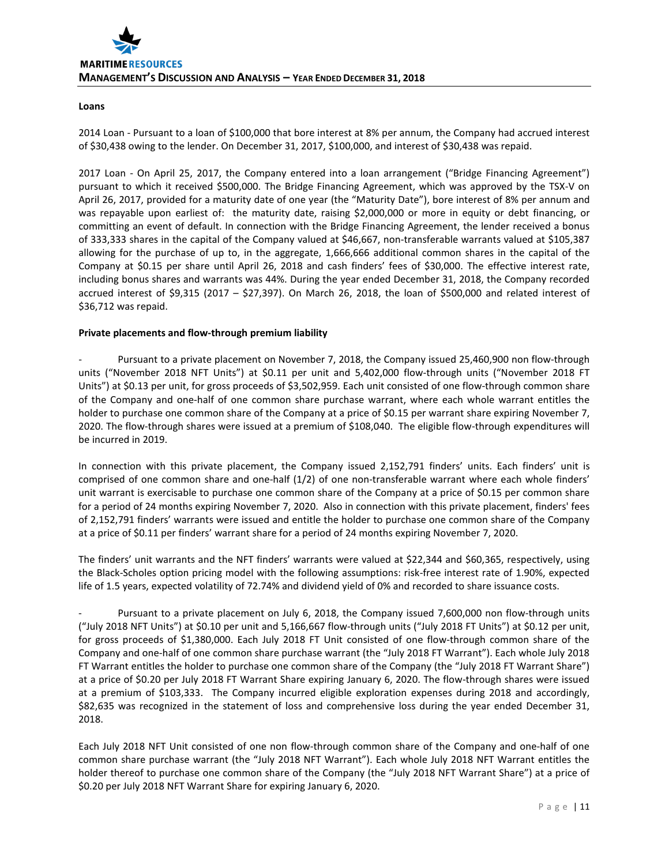# **Loans**

2014 Loan - Pursuant to a loan of \$100,000 that bore interest at 8% per annum, the Company had accrued interest of \$30,438 owing to the lender. On December 31, 2017, \$100,000, and interest of \$30,438 was repaid.

2017 Loan - On April 25, 2017, the Company entered into a loan arrangement ("Bridge Financing Agreement") pursuant to which it received \$500,000. The Bridge Financing Agreement, which was approved by the TSX-V on April 26, 2017, provided for a maturity date of one year (the "Maturity Date"), bore interest of 8% per annum and was repayable upon earliest of: the maturity date, raising \$2,000,000 or more in equity or debt financing, or committing an event of default. In connection with the Bridge Financing Agreement, the lender received a bonus of 333,333 shares in the capital of the Company valued at \$46,667, non-transferable warrants valued at \$105,387 allowing for the purchase of up to, in the aggregate, 1,666,666 additional common shares in the capital of the Company at \$0.15 per share until April 26, 2018 and cash finders' fees of \$30,000. The effective interest rate, including bonus shares and warrants was 44%. During the year ended December 31, 2018, the Company recorded accrued interest of \$9,315 (2017 – \$27,397). On March 26, 2018, the loan of \$500,000 and related interest of \$36,712 was repaid.

# **Private placements and flow-through premium liability**

Pursuant to a private placement on November 7, 2018, the Company issued 25,460,900 non flow-through units ("November 2018 NFT Units") at \$0.11 per unit and 5,402,000 flow-through units ("November 2018 FT Units") at \$0.13 per unit, for gross proceeds of \$3,502,959. Each unit consisted of one flow-through common share of the Company and one-half of one common share purchase warrant, where each whole warrant entitles the holder to purchase one common share of the Company at a price of \$0.15 per warrant share expiring November 7, 2020. The flow-through shares were issued at a premium of \$108,040. The eligible flow-through expenditures will be incurred in 2019.

In connection with this private placement, the Company issued 2,152,791 finders' units. Each finders' unit is comprised of one common share and one-half (1/2) of one non-transferable warrant where each whole finders' unit warrant is exercisable to purchase one common share of the Company at a price of \$0.15 per common share for a period of 24 months expiring November 7, 2020. Also in connection with this private placement, finders' fees of 2,152,791 finders' warrants were issued and entitle the holder to purchase one common share of the Company at a price of \$0.11 per finders' warrant share for a period of 24 months expiring November 7, 2020.

The finders' unit warrants and the NFT finders' warrants were valued at \$22,344 and \$60,365, respectively, using the Black-Scholes option pricing model with the following assumptions: risk-free interest rate of 1.90%, expected life of 1.5 years, expected volatility of 72.74% and dividend yield of 0% and recorded to share issuance costs.

Pursuant to a private placement on July 6, 2018, the Company issued 7,600,000 non flow-through units ("July 2018 NFT Units") at \$0.10 per unit and 5,166,667 flow-through units ("July 2018 FT Units") at \$0.12 per unit, for gross proceeds of \$1,380,000. Each July 2018 FT Unit consisted of one flow-through common share of the Company and one-half of one common share purchase warrant (the "July 2018 FT Warrant"). Each whole July 2018 FT Warrant entitles the holder to purchase one common share of the Company (the "July 2018 FT Warrant Share") at a price of \$0.20 per July 2018 FT Warrant Share expiring January 6, 2020. The flow-through shares were issued at a premium of \$103,333. The Company incurred eligible exploration expenses during 2018 and accordingly, \$82,635 was recognized in the statement of loss and comprehensive loss during the year ended December 31, 2018.

Each July 2018 NFT Unit consisted of one non flow-through common share of the Company and one-half of one common share purchase warrant (the "July 2018 NFT Warrant"). Each whole July 2018 NFT Warrant entitles the holder thereof to purchase one common share of the Company (the "July 2018 NFT Warrant Share") at a price of \$0.20 per July 2018 NFT Warrant Share for expiring January 6, 2020.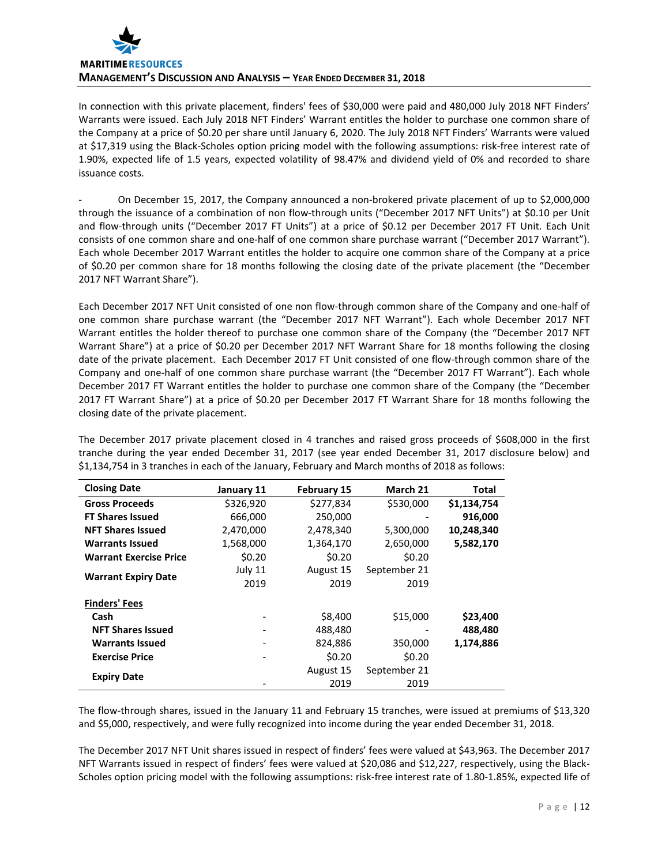

In connection with this private placement, finders' fees of \$30,000 were paid and 480,000 July 2018 NFT Finders' Warrants were issued. Each July 2018 NFT Finders' Warrant entitles the holder to purchase one common share of the Company at a price of \$0.20 per share until January 6, 2020. The July 2018 NFT Finders' Warrants were valued at \$17,319 using the Black-Scholes option pricing model with the following assumptions: risk-free interest rate of 1.90%, expected life of 1.5 years, expected volatility of 98.47% and dividend yield of 0% and recorded to share issuance costs.

- On December 15, 2017, the Company announced a non-brokered private placement of up to \$2,000,000 through the issuance of a combination of non flow-through units ("December 2017 NFT Units") at \$0.10 per Unit and flow-through units ("December 2017 FT Units") at a price of \$0.12 per December 2017 FT Unit. Each Unit consists of one common share and one-half of one common share purchase warrant ("December 2017 Warrant"). Each whole December 2017 Warrant entitles the holder to acquire one common share of the Company at a price of \$0.20 per common share for 18 months following the closing date of the private placement (the "December 2017 NFT Warrant Share").

Each December 2017 NFT Unit consisted of one non flow-through common share of the Company and one-half of one common share purchase warrant (the "December 2017 NFT Warrant"). Each whole December 2017 NFT Warrant entitles the holder thereof to purchase one common share of the Company (the "December 2017 NFT Warrant Share") at a price of \$0.20 per December 2017 NFT Warrant Share for 18 months following the closing date of the private placement. Each December 2017 FT Unit consisted of one flow-through common share of the Company and one-half of one common share purchase warrant (the "December 2017 FT Warrant"). Each whole December 2017 FT Warrant entitles the holder to purchase one common share of the Company (the "December 2017 FT Warrant Share") at a price of \$0.20 per December 2017 FT Warrant Share for 18 months following the closing date of the private placement.

The December 2017 private placement closed in 4 tranches and raised gross proceeds of \$608,000 in the first tranche during the year ended December 31, 2017 (see year ended December 31, 2017 disclosure below) and \$1,134,754 in 3 tranches in each of the January, February and March months of 2018 as follows:

| <b>Closing Date</b>           | January 11                   | <b>February 15</b> | March 21     | Total       |
|-------------------------------|------------------------------|--------------------|--------------|-------------|
| <b>Gross Proceeds</b>         | \$326,920                    | \$277,834          | \$530,000    | \$1,134,754 |
| <b>FT Shares Issued</b>       | 666,000                      | 250,000            |              | 916,000     |
| <b>NFT Shares Issued</b>      | 2,470,000                    | 2,478,340          | 5,300,000    | 10,248,340  |
| <b>Warrants Issued</b>        | 1,568,000                    | 1,364,170          | 2,650,000    | 5,582,170   |
| <b>Warrant Exercise Price</b> | \$0.20                       | \$0.20             | \$0.20       |             |
|                               | July 11                      | August 15          | September 21 |             |
| <b>Warrant Expiry Date</b>    | 2019                         | 2019               | 2019         |             |
| <b>Finders' Fees</b>          |                              |                    |              |             |
| Cash                          | $\qquad \qquad \blacksquare$ | \$8,400            | \$15,000     | \$23,400    |
| <b>NFT Shares Issued</b>      |                              | 488,480            |              | 488,480     |
| <b>Warrants Issued</b>        | $\overline{\phantom{0}}$     | 824,886            | 350,000      | 1,174,886   |
| <b>Exercise Price</b>         | -                            | \$0.20             | \$0.20       |             |
|                               |                              | August 15          | September 21 |             |
| <b>Expiry Date</b>            |                              | 2019               | 2019         |             |

The flow-through shares, issued in the January 11 and February 15 tranches, were issued at premiums of \$13,320 and \$5,000, respectively, and were fully recognized into income during the year ended December 31, 2018.

The December 2017 NFT Unit shares issued in respect of finders' fees were valued at \$43,963. The December 2017 NFT Warrants issued in respect of finders' fees were valued at \$20,086 and \$12,227, respectively, using the Black-Scholes option pricing model with the following assumptions: risk-free interest rate of 1.80-1.85%, expected life of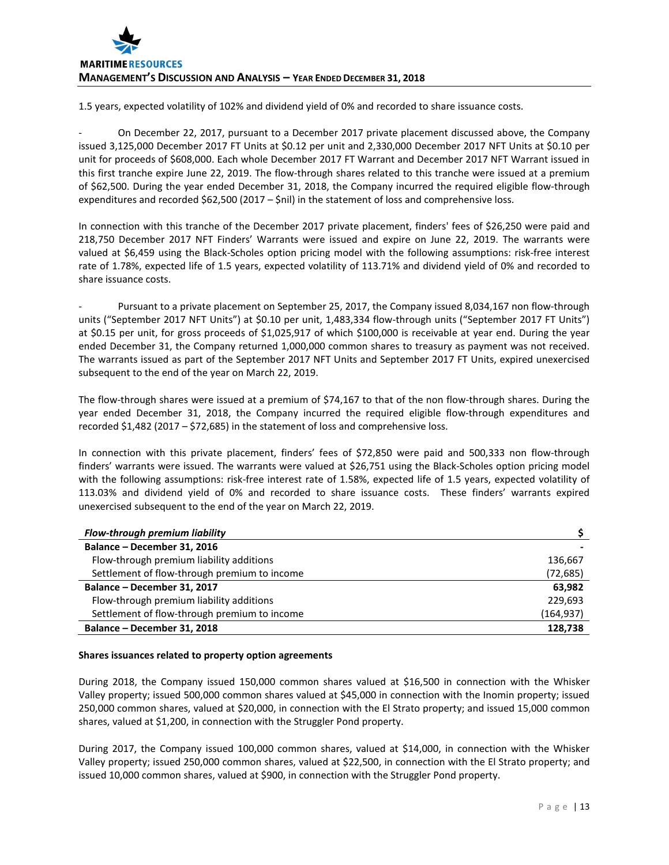1.5 years, expected volatility of 102% and dividend yield of 0% and recorded to share issuance costs.

- On December 22, 2017, pursuant to a December 2017 private placement discussed above, the Company issued 3,125,000 December 2017 FT Units at \$0.12 per unit and 2,330,000 December 2017 NFT Units at \$0.10 per unit for proceeds of \$608,000. Each whole December 2017 FT Warrant and December 2017 NFT Warrant issued in this first tranche expire June 22, 2019. The flow-through shares related to this tranche were issued at a premium of \$62,500. During the year ended December 31, 2018, the Company incurred the required eligible flow-through expenditures and recorded \$62,500 (2017 – \$nil) in the statement of loss and comprehensive loss.

In connection with this tranche of the December 2017 private placement, finders' fees of \$26,250 were paid and 218,750 December 2017 NFT Finders' Warrants were issued and expire on June 22, 2019. The warrants were valued at \$6,459 using the Black-Scholes option pricing model with the following assumptions: risk-free interest rate of 1.78%, expected life of 1.5 years, expected volatility of 113.71% and dividend yield of 0% and recorded to share issuance costs.

Pursuant to a private placement on September 25, 2017, the Company issued 8,034,167 non flow-through units ("September 2017 NFT Units") at \$0.10 per unit, 1,483,334 flow-through units ("September 2017 FT Units") at \$0.15 per unit, for gross proceeds of \$1,025,917 of which \$100,000 is receivable at year end. During the year ended December 31, the Company returned 1,000,000 common shares to treasury as payment was not received. The warrants issued as part of the September 2017 NFT Units and September 2017 FT Units, expired unexercised subsequent to the end of the year on March 22, 2019.

The flow-through shares were issued at a premium of \$74,167 to that of the non flow-through shares. During the year ended December 31, 2018, the Company incurred the required eligible flow-through expenditures and recorded \$1,482 (2017 – \$72,685) in the statement of loss and comprehensive loss.

In connection with this private placement, finders' fees of \$72,850 were paid and 500,333 non flow-through finders' warrants were issued. The warrants were valued at \$26,751 using the Black-Scholes option pricing model with the following assumptions: risk-free interest rate of 1.58%, expected life of 1.5 years, expected volatility of 113.03% and dividend yield of 0% and recorded to share issuance costs. These finders' warrants expired unexercised subsequent to the end of the year on March 22, 2019.

| Flow-through premium liability               |            |
|----------------------------------------------|------------|
| Balance - December 31, 2016                  |            |
| Flow-through premium liability additions     | 136,667    |
| Settlement of flow-through premium to income | (72,685)   |
| Balance - December 31, 2017                  | 63,982     |
| Flow-through premium liability additions     | 229,693    |
| Settlement of flow-through premium to income | (164, 937) |
| Balance - December 31, 2018                  | 128,738    |

# **Shares issuances related to property option agreements**

During 2018, the Company issued 150,000 common shares valued at \$16,500 in connection with the Whisker Valley property; issued 500,000 common shares valued at \$45,000 in connection with the Inomin property; issued 250,000 common shares, valued at \$20,000, in connection with the El Strato property; and issued 15,000 common shares, valued at \$1,200, in connection with the Struggler Pond property.

During 2017, the Company issued 100,000 common shares, valued at \$14,000, in connection with the Whisker Valley property; issued 250,000 common shares, valued at \$22,500, in connection with the El Strato property; and issued 10,000 common shares, valued at \$900, in connection with the Struggler Pond property.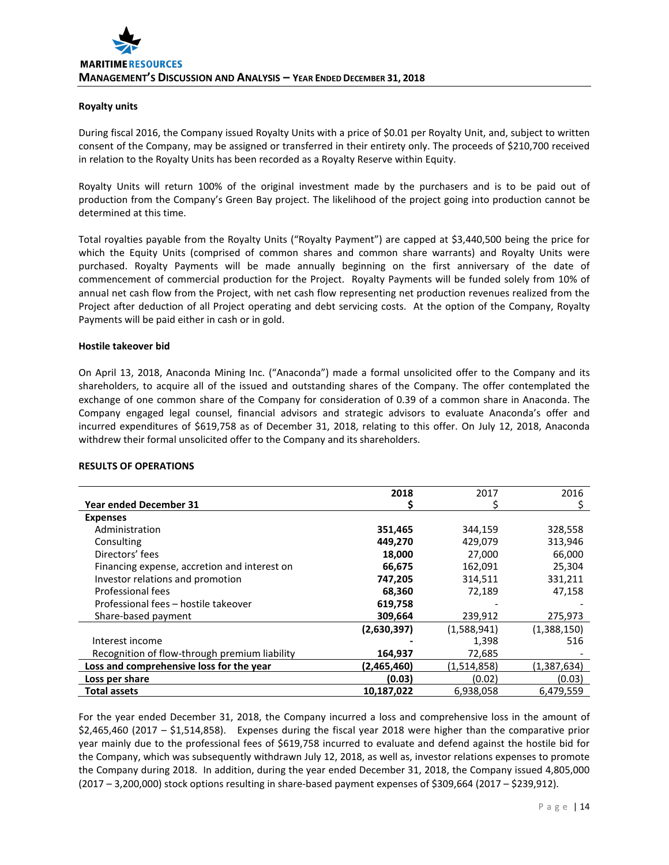# **Royalty units**

During fiscal 2016, the Company issued Royalty Units with a price of \$0.01 per Royalty Unit, and, subject to written consent of the Company, may be assigned or transferred in their entirety only. The proceeds of \$210,700 received in relation to the Royalty Units has been recorded as a Royalty Reserve within Equity.

Royalty Units will return 100% of the original investment made by the purchasers and is to be paid out of production from the Company's Green Bay project. The likelihood of the project going into production cannot be determined at this time.

Total royalties payable from the Royalty Units ("Royalty Payment") are capped at \$3,440,500 being the price for which the Equity Units (comprised of common shares and common share warrants) and Royalty Units were purchased. Royalty Payments will be made annually beginning on the first anniversary of the date of commencement of commercial production for the Project. Royalty Payments will be funded solely from 10% of annual net cash flow from the Project, with net cash flow representing net production revenues realized from the Project after deduction of all Project operating and debt servicing costs. At the option of the Company, Royalty Payments will be paid either in cash or in gold.

# **Hostile takeover bid**

On April 13, 2018, Anaconda Mining Inc. ("Anaconda") made a formal unsolicited offer to the Company and its shareholders, to acquire all of the issued and outstanding shares of the Company. The offer contemplated the exchange of one common share of the Company for consideration of 0.39 of a common share in Anaconda. The Company engaged legal counsel, financial advisors and strategic advisors to evaluate Anaconda's offer and incurred expenditures of \$619,758 as of December 31, 2018, relating to this offer. On July 12, 2018, Anaconda withdrew their formal unsolicited offer to the Company and its shareholders.

# **RESULTS OF OPERATIONS**

|                                               | 2018        | 2017        | 2016        |
|-----------------------------------------------|-------------|-------------|-------------|
| <b>Year ended December 31</b>                 |             |             |             |
| <b>Expenses</b>                               |             |             |             |
| Administration                                | 351,465     | 344,159     | 328,558     |
| Consulting                                    | 449,270     | 429,079     | 313,946     |
| Directors' fees                               | 18,000      | 27,000      | 66,000      |
| Financing expense, accretion and interest on  | 66,675      | 162,091     | 25,304      |
| Investor relations and promotion              | 747,205     | 314,511     | 331,211     |
| Professional fees                             | 68,360      | 72,189      | 47,158      |
| Professional fees - hostile takeover          | 619,758     |             |             |
| Share-based payment                           | 309,664     | 239,912     | 275,973     |
|                                               | (2,630,397) | (1,588,941) | (1,388,150) |
| Interest income                               |             | 1,398       | 516         |
| Recognition of flow-through premium liability | 164,937     | 72,685      |             |
| Loss and comprehensive loss for the year      | (2.465.460) | (1,514,858) | (1,387,634) |
| Loss per share                                | (0.03)      | (0.02)      | (0.03)      |
| <b>Total assets</b>                           | 10,187,022  | 6,938,058   | 6,479,559   |

For the year ended December 31, 2018, the Company incurred a loss and comprehensive loss in the amount of \$2,465,460 (2017 – \$1,514,858). Expenses during the fiscal year 2018 were higher than the comparative prior year mainly due to the professional fees of \$619,758 incurred to evaluate and defend against the hostile bid for the Company, which was subsequently withdrawn July 12, 2018, as well as, investor relations expenses to promote the Company during 2018. In addition, during the year ended December 31, 2018, the Company issued 4,805,000 (2017 – 3,200,000) stock options resulting in share-based payment expenses of \$309,664 (2017 – \$239,912).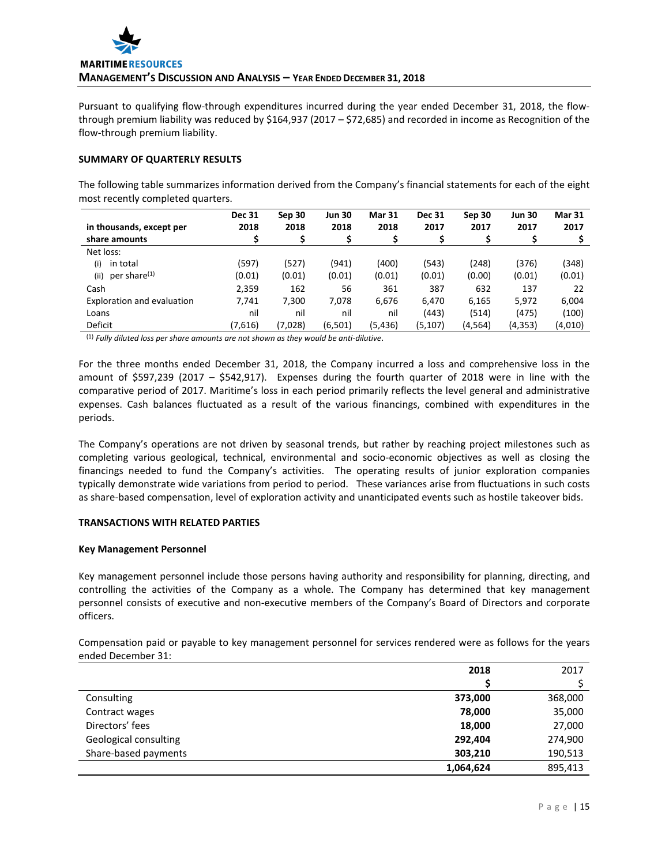Pursuant to qualifying flow-through expenditures incurred during the year ended December 31, 2018, the flowthrough premium liability was reduced by \$164,937 (2017 – \$72,685) and recorded in income as Recognition of the flow-through premium liability.

# **SUMMARY OF QUARTERLY RESULTS**

The following table summarizes information derived from the Company's financial statements for each of the eight most recently completed quarters.

|                                  | <b>Dec 31</b> | Sep 30  | <b>Jun 30</b> | <b>Mar 31</b> | <b>Dec 31</b> | Sep 30  | <b>Jun 30</b> | <b>Mar 31</b> |
|----------------------------------|---------------|---------|---------------|---------------|---------------|---------|---------------|---------------|
| in thousands, except per         | 2018          | 2018    | 2018          | 2018          | 2017          | 2017    | 2017          | 2017          |
| share amounts                    |               |         |               |               |               |         |               |               |
| Net loss:                        |               |         |               |               |               |         |               |               |
| in total<br>(i)                  | (597)         | (527)   | (941)         | (400)         | (543)         | (248)   | (376)         | (348)         |
| per share <sup>(1)</sup><br>(ii) | (0.01)        | (0.01)  | (0.01)        | (0.01)        | (0.01)        | (0.00)  | (0.01)        | (0.01)        |
| Cash                             | 2,359         | 162     | 56            | 361           | 387           | 632     | 137           | 22            |
| Exploration and evaluation       | 7,741         | 7,300   | 7,078         | 6,676         | 6.470         | 6,165   | 5,972         | 6,004         |
| Loans                            | nil           | nil     | nil           | nil           | (443)         | (514)   | (475)         | (100)         |
| Deficit                          | (7,616)       | (7,028) | (6, 501)      | (5,436)       | (5, 107)      | (4,564) | (4, 353)      | (4,010)       |

(1) *Fully diluted loss per share amounts are not shown as they would be anti-dilutive*.

For the three months ended December 31, 2018, the Company incurred a loss and comprehensive loss in the amount of \$597,239 (2017 – \$542,917). Expenses during the fourth quarter of 2018 were in line with the comparative period of 2017. Maritime's loss in each period primarily reflects the level general and administrative expenses. Cash balances fluctuated as a result of the various financings, combined with expenditures in the periods.

The Company's operations are not driven by seasonal trends, but rather by reaching project milestones such as completing various geological, technical, environmental and socio-economic objectives as well as closing the financings needed to fund the Company's activities. The operating results of junior exploration companies typically demonstrate wide variations from period to period. These variances arise from fluctuations in such costs as share-based compensation, level of exploration activity and unanticipated events such as hostile takeover bids.

# **TRANSACTIONS WITH RELATED PARTIES**

# **Key Management Personnel**

Key management personnel include those persons having authority and responsibility for planning, directing, and controlling the activities of the Company as a whole. The Company has determined that key management personnel consists of executive and non-executive members of the Company's Board of Directors and corporate officers.

Compensation paid or payable to key management personnel for services rendered were as follows for the years ended December 31:

|                       | 2018      | 2017    |
|-----------------------|-----------|---------|
|                       |           |         |
| Consulting            | 373,000   | 368,000 |
| Contract wages        | 78,000    | 35,000  |
| Directors' fees       | 18,000    | 27,000  |
| Geological consulting | 292.404   | 274,900 |
| Share-based payments  | 303,210   | 190,513 |
|                       | 1,064,624 | 895,413 |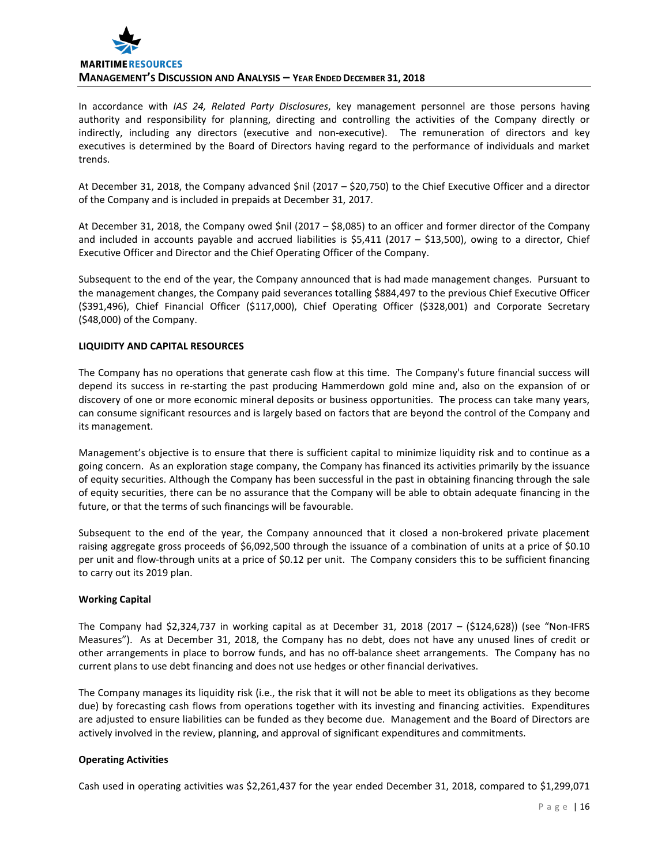

In accordance with *IAS 24, Related Party Disclosures*, key management personnel are those persons having authority and responsibility for planning, directing and controlling the activities of the Company directly or indirectly, including any directors (executive and non-executive). The remuneration of directors and key executives is determined by the Board of Directors having regard to the performance of individuals and market trends.

At December 31, 2018, the Company advanced \$nil (2017 – \$20,750) to the Chief Executive Officer and a director of the Company and is included in prepaids at December 31, 2017.

At December 31, 2018, the Company owed \$nil (2017 – \$8,085) to an officer and former director of the Company and included in accounts payable and accrued liabilities is  $$5,411$  (2017 – \$13,500), owing to a director, Chief Executive Officer and Director and the Chief Operating Officer of the Company.

Subsequent to the end of the year, the Company announced that is had made management changes. Pursuant to the management changes, the Company paid severances totalling \$884,497 to the previous Chief Executive Officer (\$391,496), Chief Financial Officer (\$117,000), Chief Operating Officer (\$328,001) and Corporate Secretary (\$48,000) of the Company.

# **LIQUIDITY AND CAPITAL RESOURCES**

The Company has no operations that generate cash flow at this time. The Company's future financial success will depend its success in re-starting the past producing Hammerdown gold mine and, also on the expansion of or discovery of one or more economic mineral deposits or business opportunities. The process can take many years, can consume significant resources and is largely based on factors that are beyond the control of the Company and its management.

Management's objective is to ensure that there is sufficient capital to minimize liquidity risk and to continue as a going concern. As an exploration stage company, the Company has financed its activities primarily by the issuance of equity securities. Although the Company has been successful in the past in obtaining financing through the sale of equity securities, there can be no assurance that the Company will be able to obtain adequate financing in the future, or that the terms of such financings will be favourable.

Subsequent to the end of the year, the Company announced that it closed a non-brokered private placement raising aggregate gross proceeds of \$6,092,500 through the issuance of a combination of units at a price of \$0.10 per unit and flow-through units at a price of \$0.12 per unit. The Company considers this to be sufficient financing to carry out its 2019 plan.

# **Working Capital**

The Company had \$2,324,737 in working capital as at December 31, 2018 (2017 – (\$124,628)) (see "Non-IFRS Measures"). As at December 31, 2018, the Company has no debt, does not have any unused lines of credit or other arrangements in place to borrow funds, and has no off-balance sheet arrangements. The Company has no current plans to use debt financing and does not use hedges or other financial derivatives.

The Company manages its liquidity risk (i.e., the risk that it will not be able to meet its obligations as they become due) by forecasting cash flows from operations together with its investing and financing activities. Expenditures are adjusted to ensure liabilities can be funded as they become due. Management and the Board of Directors are actively involved in the review, planning, and approval of significant expenditures and commitments.

# **Operating Activities**

Cash used in operating activities was \$2,261,437 for the year ended December 31, 2018, compared to \$1,299,071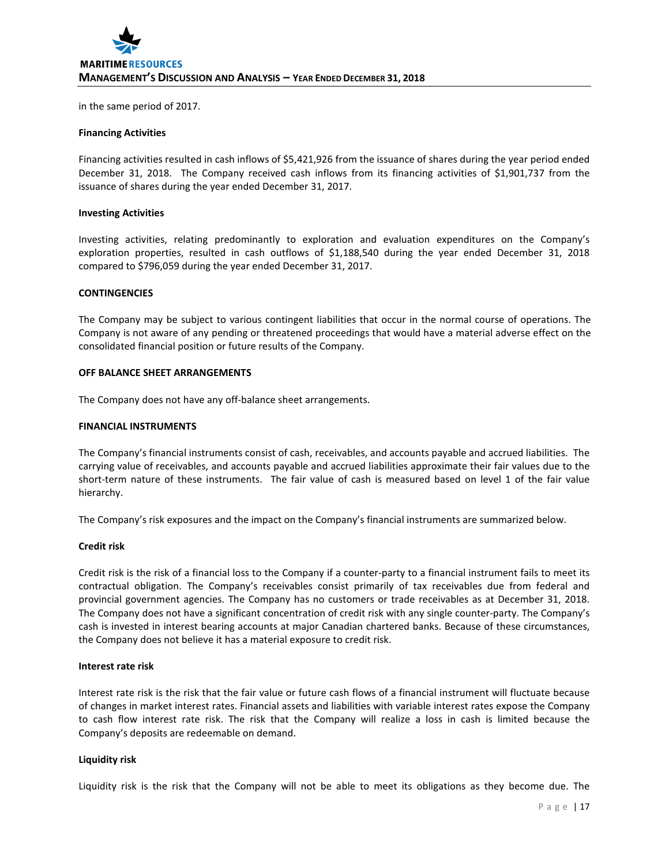in the same period of 2017.

#### **Financing Activities**

Financing activities resulted in cash inflows of \$5,421,926 from the issuance of shares during the year period ended December 31, 2018. The Company received cash inflows from its financing activities of \$1,901,737 from the issuance of shares during the year ended December 31, 2017.

#### **Investing Activities**

Investing activities, relating predominantly to exploration and evaluation expenditures on the Company's exploration properties, resulted in cash outflows of \$1,188,540 during the year ended December 31, 2018 compared to \$796,059 during the year ended December 31, 2017.

#### **CONTINGENCIES**

The Company may be subject to various contingent liabilities that occur in the normal course of operations. The Company is not aware of any pending or threatened proceedings that would have a material adverse effect on the consolidated financial position or future results of the Company.

# **OFF BALANCE SHEET ARRANGEMENTS**

The Company does not have any off-balance sheet arrangements.

#### **FINANCIAL INSTRUMENTS**

The Company's financial instruments consist of cash, receivables, and accounts payable and accrued liabilities. The carrying value of receivables, and accounts payable and accrued liabilities approximate their fair values due to the short-term nature of these instruments. The fair value of cash is measured based on level 1 of the fair value hierarchy.

The Company's risk exposures and the impact on the Company's financial instruments are summarized below.

# **Credit risk**

Credit risk is the risk of a financial loss to the Company if a counter-party to a financial instrument fails to meet its contractual obligation. The Company's receivables consist primarily of tax receivables due from federal and provincial government agencies. The Company has no customers or trade receivables as at December 31, 2018. The Company does not have a significant concentration of credit risk with any single counter-party. The Company's cash is invested in interest bearing accounts at major Canadian chartered banks. Because of these circumstances, the Company does not believe it has a material exposure to credit risk.

# **Interest rate risk**

Interest rate risk is the risk that the fair value or future cash flows of a financial instrument will fluctuate because of changes in market interest rates. Financial assets and liabilities with variable interest rates expose the Company to cash flow interest rate risk. The risk that the Company will realize a loss in cash is limited because the Company's deposits are redeemable on demand.

# **Liquidity risk**

Liquidity risk is the risk that the Company will not be able to meet its obligations as they become due. The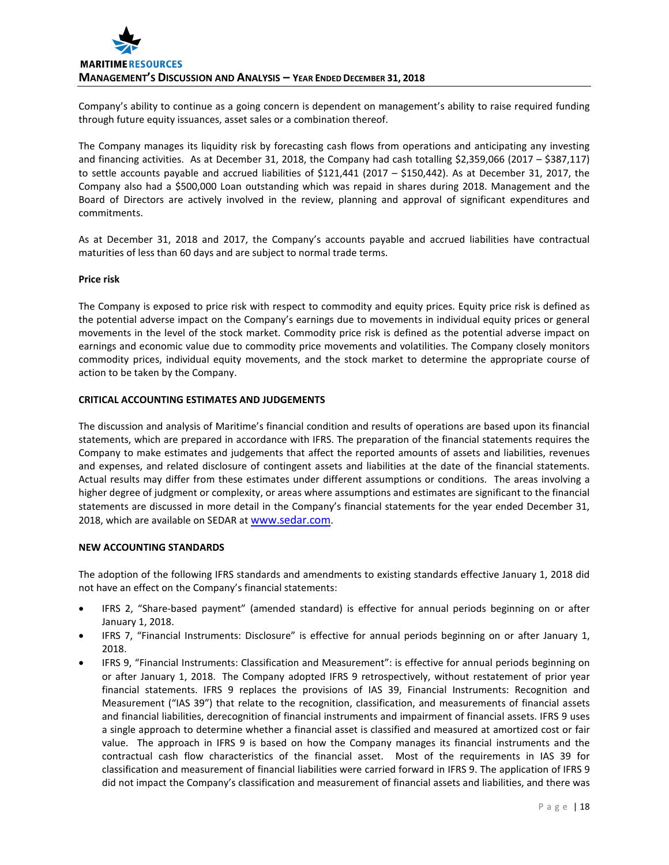Company's ability to continue as a going concern is dependent on management's ability to raise required funding through future equity issuances, asset sales or a combination thereof.

The Company manages its liquidity risk by forecasting cash flows from operations and anticipating any investing and financing activities. As at December 31, 2018, the Company had cash totalling \$2,359,066 (2017 – \$387,117) to settle accounts payable and accrued liabilities of \$121,441 (2017 – \$150,442). As at December 31, 2017, the Company also had a \$500,000 Loan outstanding which was repaid in shares during 2018. Management and the Board of Directors are actively involved in the review, planning and approval of significant expenditures and commitments.

As at December 31, 2018 and 2017, the Company's accounts payable and accrued liabilities have contractual maturities of less than 60 days and are subject to normal trade terms.

# **Price risk**

The Company is exposed to price risk with respect to commodity and equity prices. Equity price risk is defined as the potential adverse impact on the Company's earnings due to movements in individual equity prices or general movements in the level of the stock market. Commodity price risk is defined as the potential adverse impact on earnings and economic value due to commodity price movements and volatilities. The Company closely monitors commodity prices, individual equity movements, and the stock market to determine the appropriate course of action to be taken by the Company.

# **CRITICAL ACCOUNTING ESTIMATES AND JUDGEMENTS**

The discussion and analysis of Maritime's financial condition and results of operations are based upon its financial statements, which are prepared in accordance with IFRS. The preparation of the financial statements requires the Company to make estimates and judgements that affect the reported amounts of assets and liabilities, revenues and expenses, and related disclosure of contingent assets and liabilities at the date of the financial statements. Actual results may differ from these estimates under different assumptions or conditions. The areas involving a higher degree of judgment or complexity, or areas where assumptions and estimates are significant to the financial statements are discussed in more detail in the Company's financial statements for the year ended December 31, 2018, which are available on SEDAR a[t www.sedar.com.](http://www.sedar.com/)

# **NEW ACCOUNTING STANDARDS**

The adoption of the following IFRS standards and amendments to existing standards effective January 1, 2018 did not have an effect on the Company's financial statements:

- IFRS 2, "Share-based payment" (amended standard) is effective for annual periods beginning on or after January 1, 2018.
- IFRS 7, "Financial Instruments: Disclosure" is effective for annual periods beginning on or after January 1, 2018.
- IFRS 9, "Financial Instruments: Classification and Measurement": is effective for annual periods beginning on or after January 1, 2018. The Company adopted IFRS 9 retrospectively, without restatement of prior year financial statements. IFRS 9 replaces the provisions of IAS 39, Financial Instruments: Recognition and Measurement ("IAS 39") that relate to the recognition, classification, and measurements of financial assets and financial liabilities, derecognition of financial instruments and impairment of financial assets. IFRS 9 uses a single approach to determine whether a financial asset is classified and measured at amortized cost or fair value. The approach in IFRS 9 is based on how the Company manages its financial instruments and the contractual cash flow characteristics of the financial asset. Most of the requirements in IAS 39 for classification and measurement of financial liabilities were carried forward in IFRS 9. The application of IFRS 9 did not impact the Company's classification and measurement of financial assets and liabilities, and there was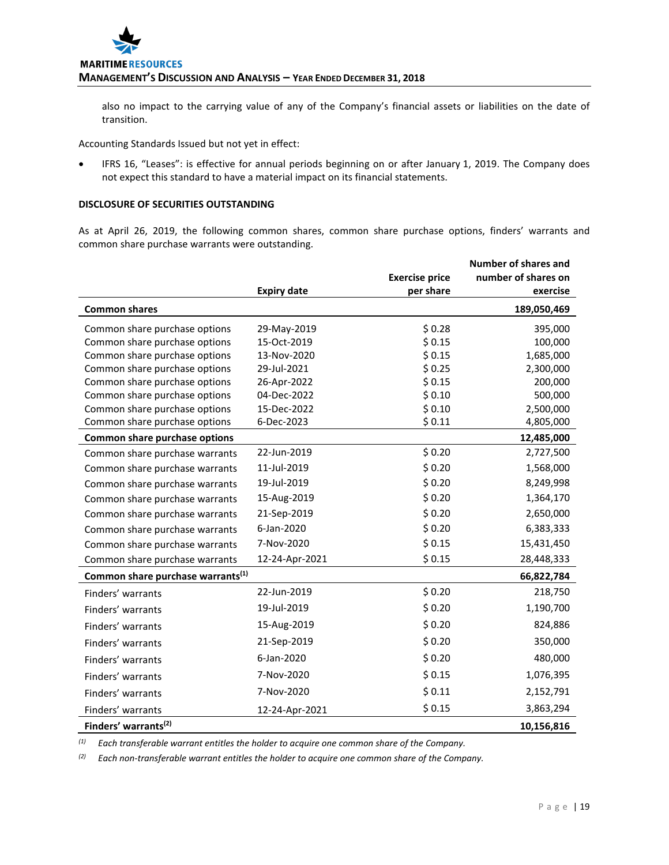also no impact to the carrying value of any of the Company's financial assets or liabilities on the date of transition.

Accounting Standards Issued but not yet in effect:

• IFRS 16, "Leases": is effective for annual periods beginning on or after January 1, 2019. The Company does not expect this standard to have a material impact on its financial statements.

# **DISCLOSURE OF SECURITIES OUTSTANDING**

As at April 26, 2019, the following common shares, common share purchase options, finders' warrants and common share purchase warrants were outstanding.

|                                               |                    |                       | <b>Number of shares and</b> |
|-----------------------------------------------|--------------------|-----------------------|-----------------------------|
|                                               |                    | <b>Exercise price</b> | number of shares on         |
|                                               | <b>Expiry date</b> | per share             | exercise                    |
| <b>Common shares</b>                          |                    |                       | 189,050,469                 |
| Common share purchase options                 | 29-May-2019        | \$0.28                | 395,000                     |
| Common share purchase options                 | 15-Oct-2019        | \$0.15                | 100,000                     |
| Common share purchase options                 | 13-Nov-2020        | \$0.15                | 1,685,000                   |
| Common share purchase options                 | 29-Jul-2021        | \$0.25                | 2,300,000                   |
| Common share purchase options                 | 26-Apr-2022        | \$0.15                | 200,000                     |
| Common share purchase options                 | 04-Dec-2022        | \$0.10                | 500,000                     |
| Common share purchase options                 | 15-Dec-2022        | \$0.10                | 2,500,000                   |
| Common share purchase options                 | 6-Dec-2023         | \$0.11                | 4,805,000                   |
| Common share purchase options                 |                    |                       | 12,485,000                  |
| Common share purchase warrants                | 22-Jun-2019        | \$0.20                | 2,727,500                   |
| Common share purchase warrants                | 11-Jul-2019        | \$0.20                | 1,568,000                   |
| Common share purchase warrants                | 19-Jul-2019        | \$0.20                | 8,249,998                   |
| Common share purchase warrants                | 15-Aug-2019        | \$0.20                | 1,364,170                   |
| Common share purchase warrants                | 21-Sep-2019        | \$0.20                | 2,650,000                   |
| Common share purchase warrants                | 6-Jan-2020         | \$0.20                | 6,383,333                   |
| Common share purchase warrants                | 7-Nov-2020         | \$0.15                | 15,431,450                  |
| Common share purchase warrants                | 12-24-Apr-2021     | \$0.15                | 28,448,333                  |
| Common share purchase warrants <sup>(1)</sup> |                    |                       | 66,822,784                  |
| Finders' warrants                             | 22-Jun-2019        | \$0.20                | 218,750                     |
| Finders' warrants                             | 19-Jul-2019        | \$0.20                | 1,190,700                   |
| Finders' warrants                             | 15-Aug-2019        | \$0.20                | 824,886                     |
| Finders' warrants                             | 21-Sep-2019        | \$0.20                | 350,000                     |
| Finders' warrants                             | 6-Jan-2020         | \$0.20                | 480,000                     |
| Finders' warrants                             | 7-Nov-2020         | \$0.15                | 1,076,395                   |
| Finders' warrants                             | 7-Nov-2020         | \$0.11                | 2,152,791                   |
| Finders' warrants                             | 12-24-Apr-2021     | \$0.15                | 3,863,294                   |
| Finders' warrants <sup>(2)</sup>              |                    |                       | 10,156,816                  |

*(1) Each transferable warrant entitles the holder to acquire one common share of the Company.*

*(2) Each non-transferable warrant entitles the holder to acquire one common share of the Company.*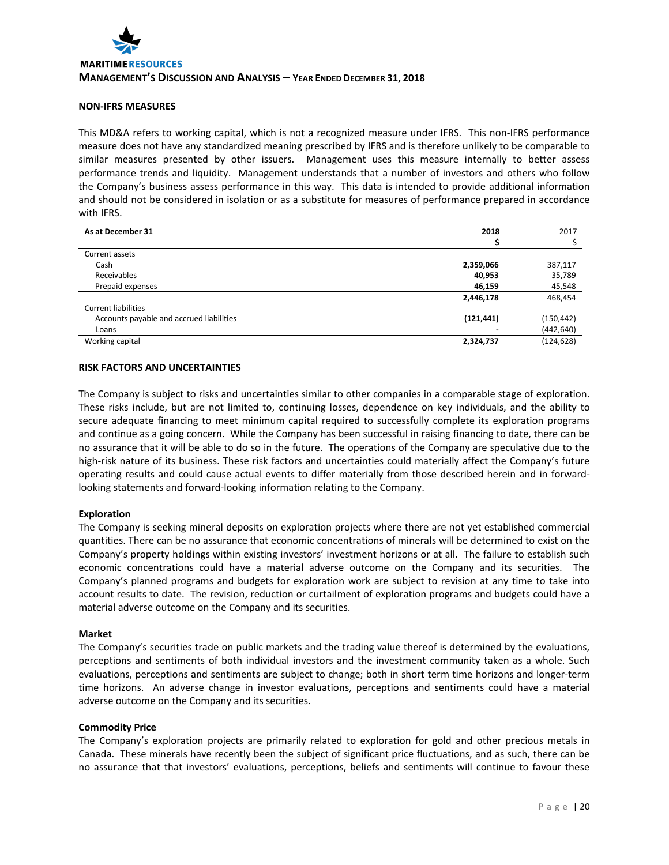# **NON-IFRS MEASURES**

This MD&A refers to working capital, which is not a recognized measure under IFRS. This non-IFRS performance measure does not have any standardized meaning prescribed by IFRS and is therefore unlikely to be comparable to similar measures presented by other issuers. Management uses this measure internally to better assess performance trends and liquidity. Management understands that a number of investors and others who follow the Company's business assess performance in this way. This data is intended to provide additional information and should not be considered in isolation or as a substitute for measures of performance prepared in accordance with IFRS.

| As at December 31                        | 2018       | 2017       |
|------------------------------------------|------------|------------|
|                                          |            |            |
| Current assets                           |            |            |
| Cash                                     | 2,359,066  | 387,117    |
| Receivables                              | 40,953     | 35,789     |
| Prepaid expenses                         | 46,159     | 45,548     |
|                                          | 2,446,178  | 468,454    |
| <b>Current liabilities</b>               |            |            |
| Accounts payable and accrued liabilities | (121, 441) | (150, 442) |
| Loans                                    |            | (442, 640) |
| Working capital                          | 2,324,737  | (124, 628) |

# **RISK FACTORS AND UNCERTAINTIES**

The Company is subject to risks and uncertainties similar to other companies in a comparable stage of exploration. These risks include, but are not limited to, continuing losses, dependence on key individuals, and the ability to secure adequate financing to meet minimum capital required to successfully complete its exploration programs and continue as a going concern. While the Company has been successful in raising financing to date, there can be no assurance that it will be able to do so in the future. The operations of the Company are speculative due to the high-risk nature of its business. These risk factors and uncertainties could materially affect the Company's future operating results and could cause actual events to differ materially from those described herein and in forwardlooking statements and forward-looking information relating to the Company.

# **Exploration**

The Company is seeking mineral deposits on exploration projects where there are not yet established commercial quantities. There can be no assurance that economic concentrations of minerals will be determined to exist on the Company's property holdings within existing investors' investment horizons or at all. The failure to establish such economic concentrations could have a material adverse outcome on the Company and its securities. The Company's planned programs and budgets for exploration work are subject to revision at any time to take into account results to date. The revision, reduction or curtailment of exploration programs and budgets could have a material adverse outcome on the Company and its securities.

#### **Market**

The Company's securities trade on public markets and the trading value thereof is determined by the evaluations, perceptions and sentiments of both individual investors and the investment community taken as a whole. Such evaluations, perceptions and sentiments are subject to change; both in short term time horizons and longer-term time horizons. An adverse change in investor evaluations, perceptions and sentiments could have a material adverse outcome on the Company and its securities.

# **Commodity Price**

The Company's exploration projects are primarily related to exploration for gold and other precious metals in Canada. These minerals have recently been the subject of significant price fluctuations, and as such, there can be no assurance that that investors' evaluations, perceptions, beliefs and sentiments will continue to favour these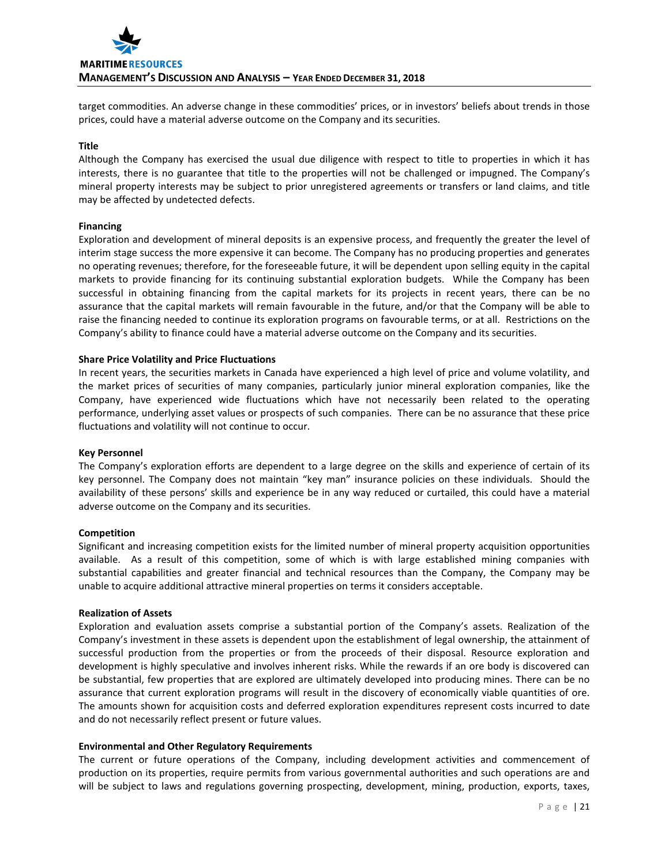target commodities. An adverse change in these commodities' prices, or in investors' beliefs about trends in those prices, could have a material adverse outcome on the Company and its securities.

# **Title**

Although the Company has exercised the usual due diligence with respect to title to properties in which it has interests, there is no guarantee that title to the properties will not be challenged or impugned. The Company's mineral property interests may be subject to prior unregistered agreements or transfers or land claims, and title may be affected by undetected defects.

# **Financing**

Exploration and development of mineral deposits is an expensive process, and frequently the greater the level of interim stage success the more expensive it can become. The Company has no producing properties and generates no operating revenues; therefore, for the foreseeable future, it will be dependent upon selling equity in the capital markets to provide financing for its continuing substantial exploration budgets. While the Company has been successful in obtaining financing from the capital markets for its projects in recent years, there can be no assurance that the capital markets will remain favourable in the future, and/or that the Company will be able to raise the financing needed to continue its exploration programs on favourable terms, or at all. Restrictions on the Company's ability to finance could have a material adverse outcome on the Company and its securities.

# **Share Price Volatility and Price Fluctuations**

In recent years, the securities markets in Canada have experienced a high level of price and volume volatility, and the market prices of securities of many companies, particularly junior mineral exploration companies, like the Company, have experienced wide fluctuations which have not necessarily been related to the operating performance, underlying asset values or prospects of such companies. There can be no assurance that these price fluctuations and volatility will not continue to occur.

# **Key Personnel**

The Company's exploration efforts are dependent to a large degree on the skills and experience of certain of its key personnel. The Company does not maintain "key man" insurance policies on these individuals. Should the availability of these persons' skills and experience be in any way reduced or curtailed, this could have a material adverse outcome on the Company and its securities.

# **Competition**

Significant and increasing competition exists for the limited number of mineral property acquisition opportunities available. As a result of this competition, some of which is with large established mining companies with substantial capabilities and greater financial and technical resources than the Company, the Company may be unable to acquire additional attractive mineral properties on terms it considers acceptable.

# **Realization of Assets**

Exploration and evaluation assets comprise a substantial portion of the Company's assets. Realization of the Company's investment in these assets is dependent upon the establishment of legal ownership, the attainment of successful production from the properties or from the proceeds of their disposal. Resource exploration and development is highly speculative and involves inherent risks. While the rewards if an ore body is discovered can be substantial, few properties that are explored are ultimately developed into producing mines. There can be no assurance that current exploration programs will result in the discovery of economically viable quantities of ore. The amounts shown for acquisition costs and deferred exploration expenditures represent costs incurred to date and do not necessarily reflect present or future values.

# **Environmental and Other Regulatory Requirements**

The current or future operations of the Company, including development activities and commencement of production on its properties, require permits from various governmental authorities and such operations are and will be subject to laws and regulations governing prospecting, development, mining, production, exports, taxes,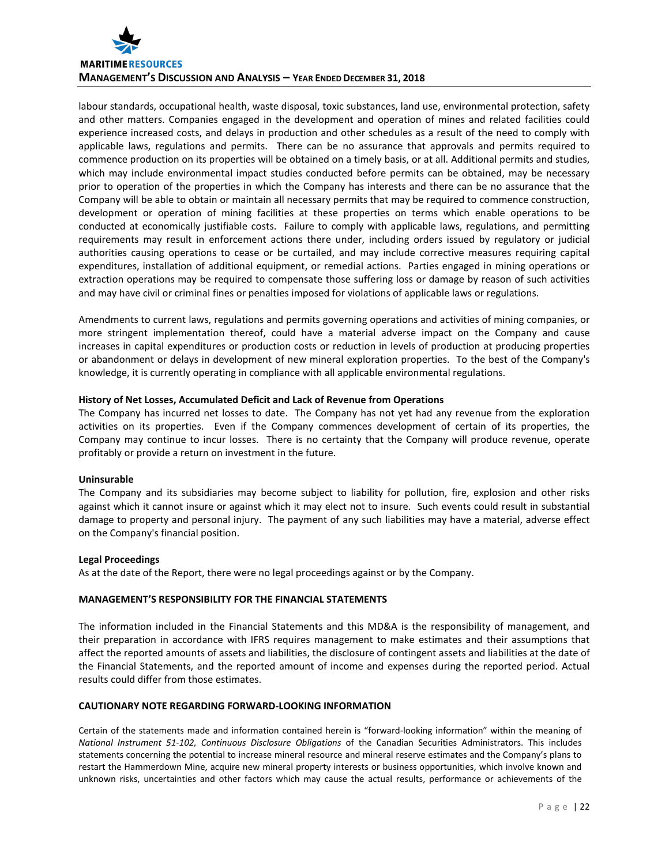

labour standards, occupational health, waste disposal, toxic substances, land use, environmental protection, safety and other matters. Companies engaged in the development and operation of mines and related facilities could experience increased costs, and delays in production and other schedules as a result of the need to comply with applicable laws, regulations and permits. There can be no assurance that approvals and permits required to commence production on its properties will be obtained on a timely basis, or at all. Additional permits and studies, which may include environmental impact studies conducted before permits can be obtained, may be necessary prior to operation of the properties in which the Company has interests and there can be no assurance that the Company will be able to obtain or maintain all necessary permits that may be required to commence construction, development or operation of mining facilities at these properties on terms which enable operations to be conducted at economically justifiable costs. Failure to comply with applicable laws, regulations, and permitting requirements may result in enforcement actions there under, including orders issued by regulatory or judicial authorities causing operations to cease or be curtailed, and may include corrective measures requiring capital expenditures, installation of additional equipment, or remedial actions. Parties engaged in mining operations or extraction operations may be required to compensate those suffering loss or damage by reason of such activities and may have civil or criminal fines or penalties imposed for violations of applicable laws or regulations.

Amendments to current laws, regulations and permits governing operations and activities of mining companies, or more stringent implementation thereof, could have a material adverse impact on the Company and cause increases in capital expenditures or production costs or reduction in levels of production at producing properties or abandonment or delays in development of new mineral exploration properties. To the best of the Company's knowledge, it is currently operating in compliance with all applicable environmental regulations.

# **History of Net Losses, Accumulated Deficit and Lack of Revenue from Operations**

The Company has incurred net losses to date. The Company has not yet had any revenue from the exploration activities on its properties. Even if the Company commences development of certain of its properties, the Company may continue to incur losses. There is no certainty that the Company will produce revenue, operate profitably or provide a return on investment in the future.

# **Uninsurable**

The Company and its subsidiaries may become subject to liability for pollution, fire, explosion and other risks against which it cannot insure or against which it may elect not to insure. Such events could result in substantial damage to property and personal injury. The payment of any such liabilities may have a material, adverse effect on the Company's financial position.

# **Legal Proceedings**

As at the date of the Report, there were no legal proceedings against or by the Company.

# **MANAGEMENT'S RESPONSIBILITY FOR THE FINANCIAL STATEMENTS**

The information included in the Financial Statements and this MD&A is the responsibility of management, and their preparation in accordance with IFRS requires management to make estimates and their assumptions that affect the reported amounts of assets and liabilities, the disclosure of contingent assets and liabilities at the date of the Financial Statements, and the reported amount of income and expenses during the reported period. Actual results could differ from those estimates.

# **CAUTIONARY NOTE REGARDING FORWARD-LOOKING INFORMATION**

Certain of the statements made and information contained herein is "forward-looking information" within the meaning of *National Instrument 51-102, Continuous Disclosure Obligations* of the Canadian Securities Administrators. This includes statements concerning the potential to increase mineral resource and mineral reserve estimates and the Company's plans to restart the Hammerdown Mine, acquire new mineral property interests or business opportunities, which involve known and unknown risks, uncertainties and other factors which may cause the actual results, performance or achievements of the